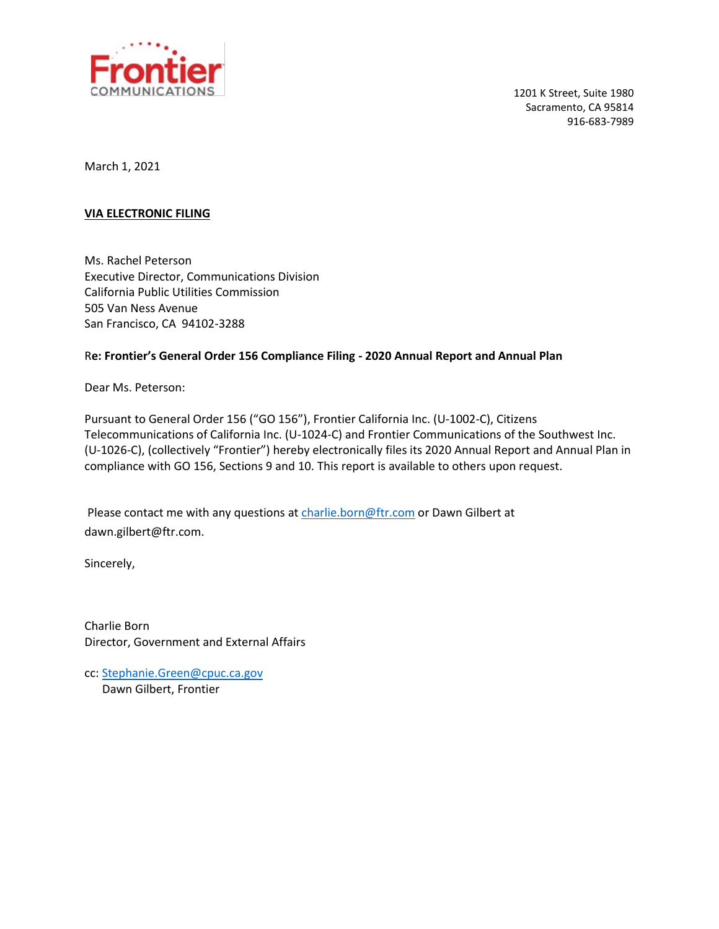

1201 K Street, Suite 1980 Sacramento, CA 95814 916-683-7989

March 1, 2021

#### **VIA ELECTRONIC FILING**

Ms. Rachel Peterson Executive Director, Communications Division California Public Utilities Commission 505 Van Ness Avenue San Francisco, CA 94102-3288

#### R**e: Frontier's General Order 156 Compliance Filing - 2020 Annual Report and Annual Plan**

Dear Ms. Peterson:

Pursuant to General Order 156 ("GO 156"), Frontier California Inc. (U-1002-C), Citizens Telecommunications of California Inc. (U-1024-C) and Frontier Communications of the Southwest Inc. (U-1026-C), (collectively "Frontier") hereby electronically files its 2020 Annual Report and Annual Plan in compliance with GO 156, Sections 9 and 10. This report is available to others upon request.

Please contact me with any questions at [charlie.born@ftr.com](mailto:charlie.born@ftr.com) or Dawn Gilbert at dawn.gilbert@ftr.com.

Sincerely,

Charlie Born Director, Government and External Affairs

cc[: Stephanie.Green@cpuc.ca.gov](mailto:Stephanie.Green@cpuc.ca.gov) Dawn Gilbert, Frontier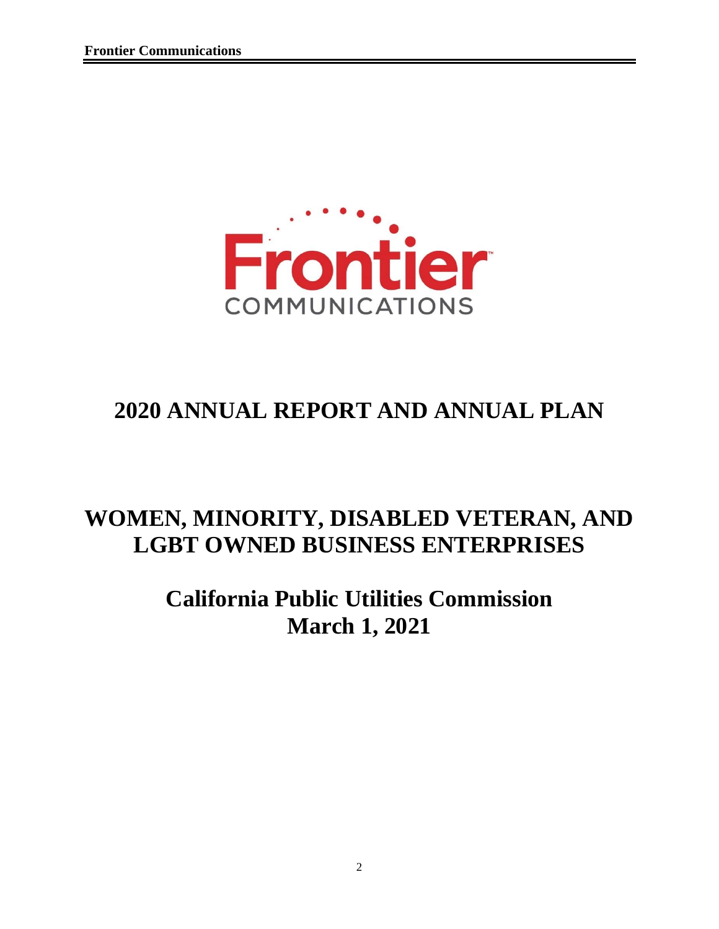

# **2020 ANNUAL REPORT AND ANNUAL PLAN**

# **WOMEN, MINORITY, DISABLED VETERAN, AND LGBT OWNED BUSINESS ENTERPRISES**

# **California Public Utilities Commission March 1, 2021**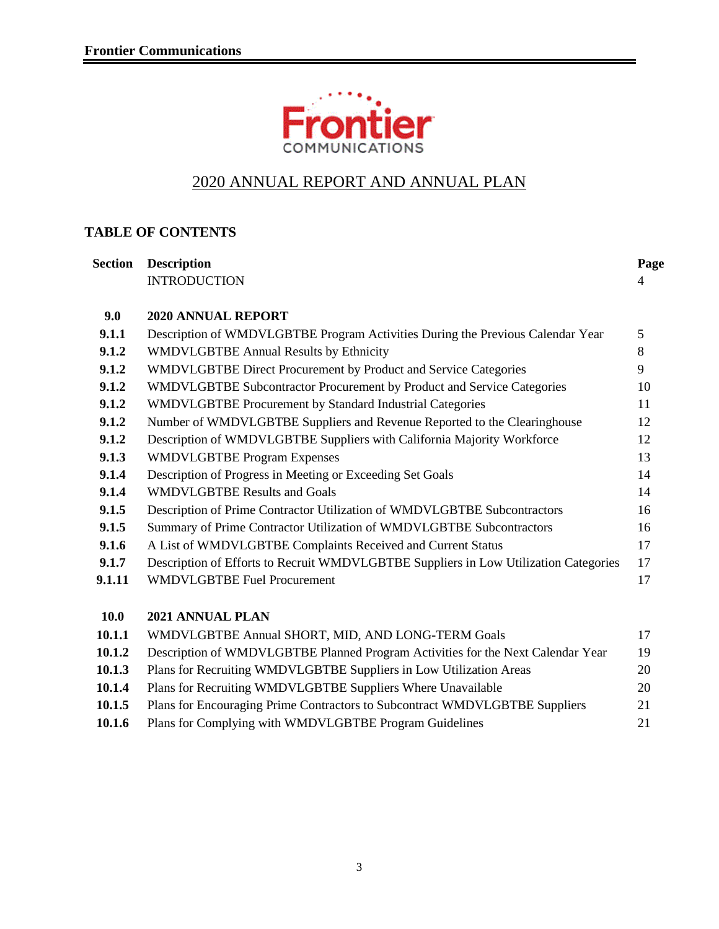

## 2020 ANNUAL REPORT AND ANNUAL PLAN

## **TABLE OF CONTENTS**

| <b>Section</b> | <b>Description</b>                                                                   | Page |
|----------------|--------------------------------------------------------------------------------------|------|
|                | <b>INTRODUCTION</b>                                                                  | 4    |
| 9.0            | <b>2020 ANNUAL REPORT</b>                                                            |      |
| 9.1.1          | Description of WMDVLGBTBE Program Activities During the Previous Calendar Year       | 5    |
| 9.1.2          | <b>WMDVLGBTBE Annual Results by Ethnicity</b>                                        | 8    |
| 9.1.2          | WMDVLGBTBE Direct Procurement by Product and Service Categories                      | 9    |
| 9.1.2          | WMDVLGBTBE Subcontractor Procurement by Product and Service Categories               | 10   |
| 9.1.2          | WMDVLGBTBE Procurement by Standard Industrial Categories                             | 11   |
| 9.1.2          | Number of WMDVLGBTBE Suppliers and Revenue Reported to the Clearinghouse             | 12   |
| 9.1.2          | Description of WMDVLGBTBE Suppliers with California Majority Workforce               | 12   |
| 9.1.3          | <b>WMDVLGBTBE Program Expenses</b>                                                   | 13   |
| 9.1.4          | Description of Progress in Meeting or Exceeding Set Goals                            | 14   |
| 9.1.4          | <b>WMDVLGBTBE Results and Goals</b>                                                  | 14   |
| 9.1.5          | Description of Prime Contractor Utilization of WMDVLGBTBE Subcontractors             | 16   |
| 9.1.5          | Summary of Prime Contractor Utilization of WMDVLGBTBE Subcontractors                 | 16   |
| 9.1.6          | A List of WMDVLGBTBE Complaints Received and Current Status                          | 17   |
| 9.1.7          | Description of Efforts to Recruit WMDVLGBTBE Suppliers in Low Utilization Categories | 17   |
| 9.1.11         | <b>WMDVLGBTBE Fuel Procurement</b>                                                   | 17   |
| <b>10.0</b>    | 2021 ANNUAL PLAN                                                                     |      |
| 10.1.1         | WMDVLGBTBE Annual SHORT, MID, AND LONG-TERM Goals                                    | 17   |
| 10.1.2         | Description of WMDVLGBTBE Planned Program Activities for the Next Calendar Year      | 19   |
| 10.1.3         | Plans for Recruiting WMDVLGBTBE Suppliers in Low Utilization Areas                   | 20   |
| 10.1.4         | Plans for Recruiting WMDVLGBTBE Suppliers Where Unavailable                          | 20   |

| 10.1.5 | Plans for Encouraging Prime Contractors to Subcontract WMDVLGBTBE Suppliers | 21 |
|--------|-----------------------------------------------------------------------------|----|
| 10.1.6 | Plans for Complying with WMDVLGBTBE Program Guidelines                      |    |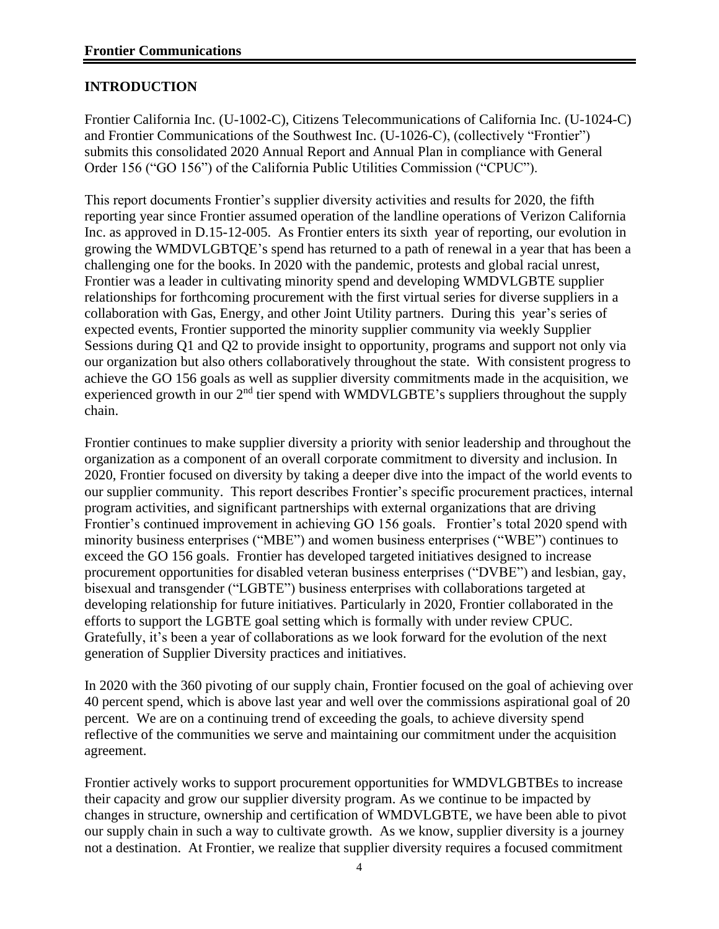#### **INTRODUCTION**

Frontier California Inc. (U-1002-C), Citizens Telecommunications of California Inc. (U-1024-C) and Frontier Communications of the Southwest Inc. (U-1026-C), (collectively "Frontier") submits this consolidated 2020 Annual Report and Annual Plan in compliance with General Order 156 ("GO 156") of the California Public Utilities Commission ("CPUC").

This report documents Frontier's supplier diversity activities and results for 2020, the fifth reporting year since Frontier assumed operation of the landline operations of Verizon California Inc. as approved in D.15-12-005. As Frontier enters its sixth year of reporting, our evolution in growing the WMDVLGBTQE's spend has returned to a path of renewal in a year that has been a challenging one for the books. In 2020 with the pandemic, protests and global racial unrest, Frontier was a leader in cultivating minority spend and developing WMDVLGBTE supplier relationships for forthcoming procurement with the first virtual series for diverse suppliers in a collaboration with Gas, Energy, and other Joint Utility partners. During this year's series of expected events, Frontier supported the minority supplier community via weekly Supplier Sessions during Q1 and Q2 to provide insight to opportunity, programs and support not only via our organization but also others collaboratively throughout the state. With consistent progress to achieve the GO 156 goals as well as supplier diversity commitments made in the acquisition, we experienced growth in our  $2<sup>nd</sup>$  tier spend with WMDVLGBTE's suppliers throughout the supply chain.

Frontier continues to make supplier diversity a priority with senior leadership and throughout the organization as a component of an overall corporate commitment to diversity and inclusion. In 2020, Frontier focused on diversity by taking a deeper dive into the impact of the world events to our supplier community. This report describes Frontier's specific procurement practices, internal program activities, and significant partnerships with external organizations that are driving Frontier's continued improvement in achieving GO 156 goals. Frontier's total 2020 spend with minority business enterprises ("MBE") and women business enterprises ("WBE") continues to exceed the GO 156 goals. Frontier has developed targeted initiatives designed to increase procurement opportunities for disabled veteran business enterprises ("DVBE") and lesbian, gay, bisexual and transgender ("LGBTE") business enterprises with collaborations targeted at developing relationship for future initiatives. Particularly in 2020, Frontier collaborated in the efforts to support the LGBTE goal setting which is formally with under review CPUC. Gratefully, it's been a year of collaborations as we look forward for the evolution of the next generation of Supplier Diversity practices and initiatives.

In 2020 with the 360 pivoting of our supply chain, Frontier focused on the goal of achieving over 40 percent spend, which is above last year and well over the commissions aspirational goal of 20 percent. We are on a continuing trend of exceeding the goals, to achieve diversity spend reflective of the communities we serve and maintaining our commitment under the acquisition agreement.

Frontier actively works to support procurement opportunities for WMDVLGBTBEs to increase their capacity and grow our supplier diversity program. As we continue to be impacted by changes in structure, ownership and certification of WMDVLGBTE, we have been able to pivot our supply chain in such a way to cultivate growth. As we know, supplier diversity is a journey not a destination. At Frontier, we realize that supplier diversity requires a focused commitment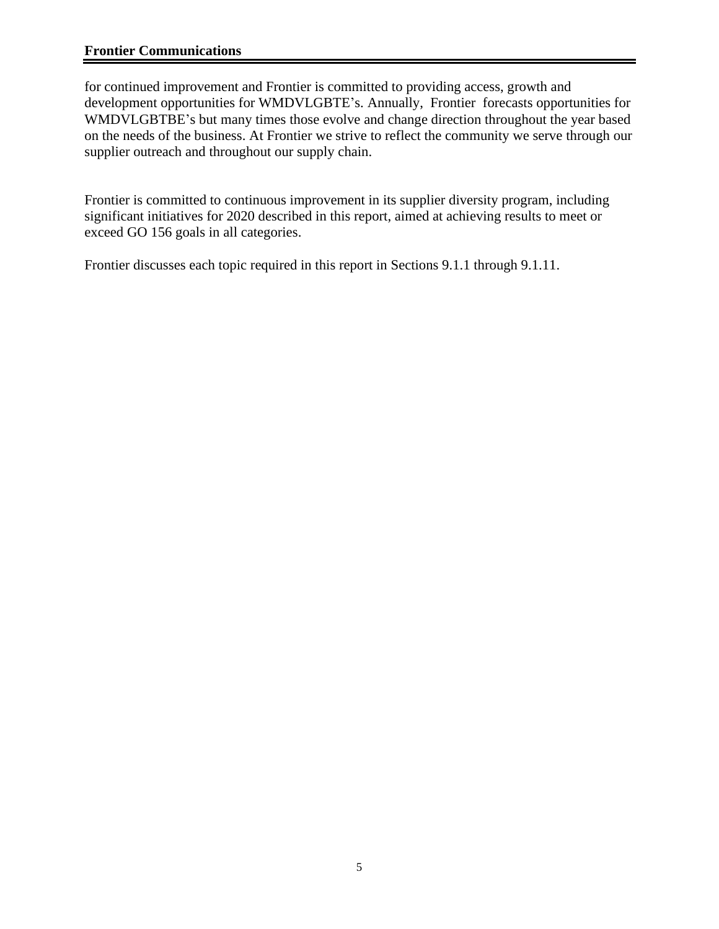#### **Frontier Communications**

for continued improvement and Frontier is committed to providing access, growth and development opportunities for WMDVLGBTE's. Annually, Frontier forecasts opportunities for WMDVLGBTBE's but many times those evolve and change direction throughout the year based on the needs of the business. At Frontier we strive to reflect the community we serve through our supplier outreach and throughout our supply chain.

Frontier is committed to continuous improvement in its supplier diversity program, including significant initiatives for 2020 described in this report, aimed at achieving results to meet or exceed GO 156 goals in all categories.

Frontier discusses each topic required in this report in Sections 9.1.1 through 9.1.11.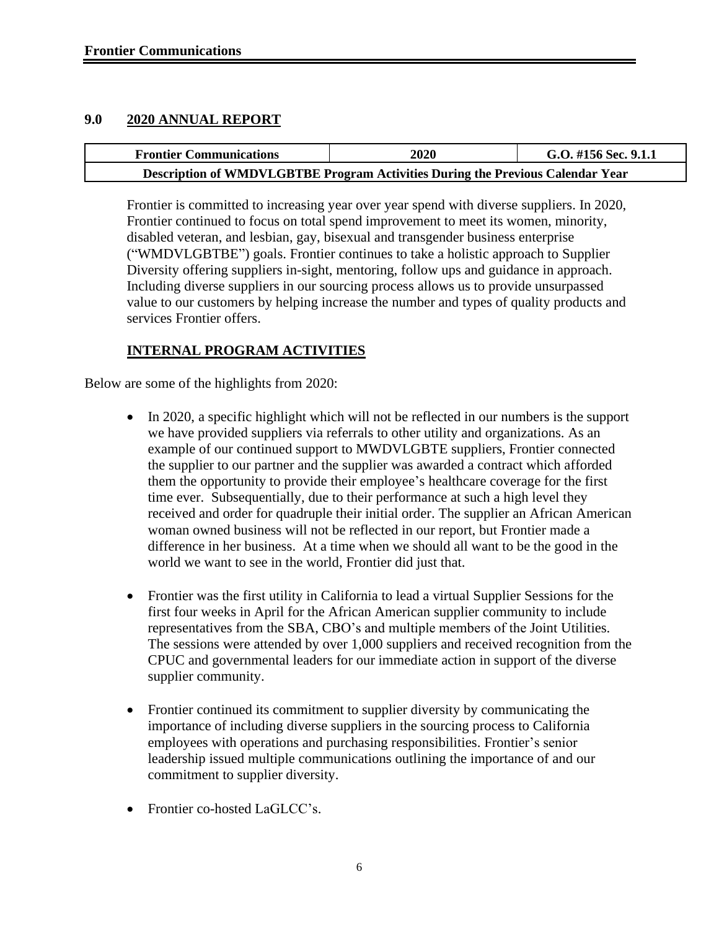#### **9.0 2020 ANNUAL REPORT**

| <b>Frontier Communications</b>                                                 | <b>2020</b> | G.O. #156 Sec. 9.1.1 |  |  |  |  |
|--------------------------------------------------------------------------------|-------------|----------------------|--|--|--|--|
| Description of WMDVLGBTBE Program Activities During the Previous Calendar Year |             |                      |  |  |  |  |

Frontier is committed to increasing year over year spend with diverse suppliers. In 2020, Frontier continued to focus on total spend improvement to meet its women, minority, disabled veteran, and lesbian, gay, bisexual and transgender business enterprise ("WMDVLGBTBE") goals. Frontier continues to take a holistic approach to Supplier Diversity offering suppliers in-sight, mentoring, follow ups and guidance in approach. Including diverse suppliers in our sourcing process allows us to provide unsurpassed value to our customers by helping increase the number and types of quality products and services Frontier offers.

#### **INTERNAL PROGRAM ACTIVITIES**

Below are some of the highlights from 2020:

- In 2020, a specific highlight which will not be reflected in our numbers is the support we have provided suppliers via referrals to other utility and organizations. As an example of our continued support to MWDVLGBTE suppliers, Frontier connected the supplier to our partner and the supplier was awarded a contract which afforded them the opportunity to provide their employee's healthcare coverage for the first time ever. Subsequentially, due to their performance at such a high level they received and order for quadruple their initial order. The supplier an African American woman owned business will not be reflected in our report, but Frontier made a difference in her business. At a time when we should all want to be the good in the world we want to see in the world, Frontier did just that.
- Frontier was the first utility in California to lead a virtual Supplier Sessions for the first four weeks in April for the African American supplier community to include representatives from the SBA, CBO's and multiple members of the Joint Utilities. The sessions were attended by over 1,000 suppliers and received recognition from the CPUC and governmental leaders for our immediate action in support of the diverse supplier community.
- Frontier continued its commitment to supplier diversity by communicating the importance of including diverse suppliers in the sourcing process to California employees with operations and purchasing responsibilities. Frontier's senior leadership issued multiple communications outlining the importance of and our commitment to supplier diversity.
- Frontier co-hosted LaGLCC's.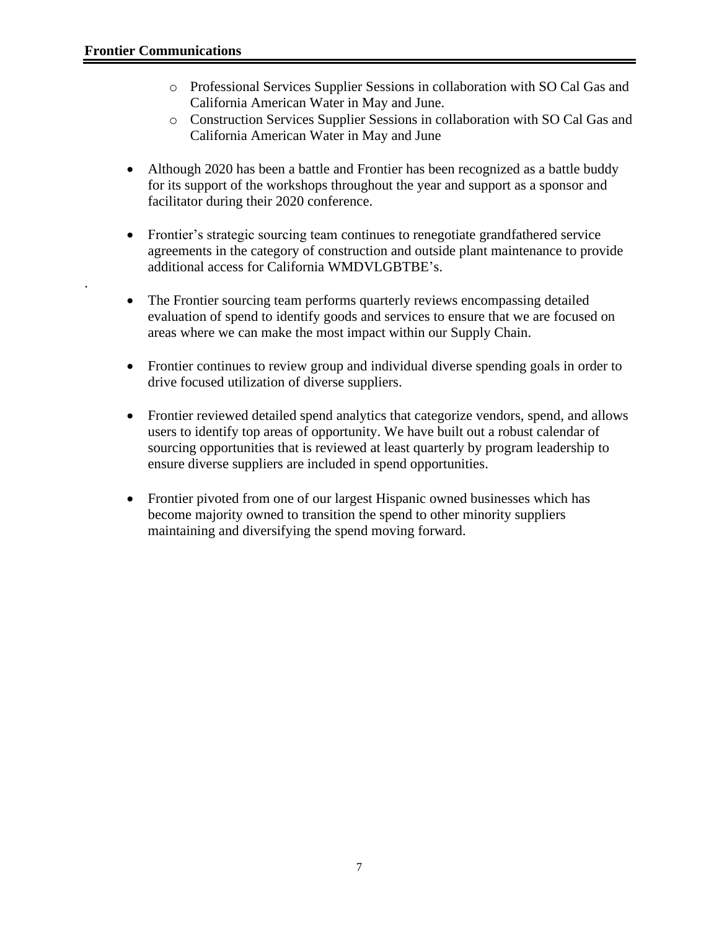.

- o Professional Services Supplier Sessions in collaboration with SO Cal Gas and California American Water in May and June.
- o Construction Services Supplier Sessions in collaboration with SO Cal Gas and California American Water in May and June
- Although 2020 has been a battle and Frontier has been recognized as a battle buddy for its support of the workshops throughout the year and support as a sponsor and facilitator during their 2020 conference.
- Frontier's strategic sourcing team continues to renegotiate grandfathered service agreements in the category of construction and outside plant maintenance to provide additional access for California WMDVLGBTBE's.
- The Frontier sourcing team performs quarterly reviews encompassing detailed evaluation of spend to identify goods and services to ensure that we are focused on areas where we can make the most impact within our Supply Chain.
- Frontier continues to review group and individual diverse spending goals in order to drive focused utilization of diverse suppliers.
- Frontier reviewed detailed spend analytics that categorize vendors, spend, and allows users to identify top areas of opportunity. We have built out a robust calendar of sourcing opportunities that is reviewed at least quarterly by program leadership to ensure diverse suppliers are included in spend opportunities.
- Frontier pivoted from one of our largest Hispanic owned businesses which has become majority owned to transition the spend to other minority suppliers maintaining and diversifying the spend moving forward.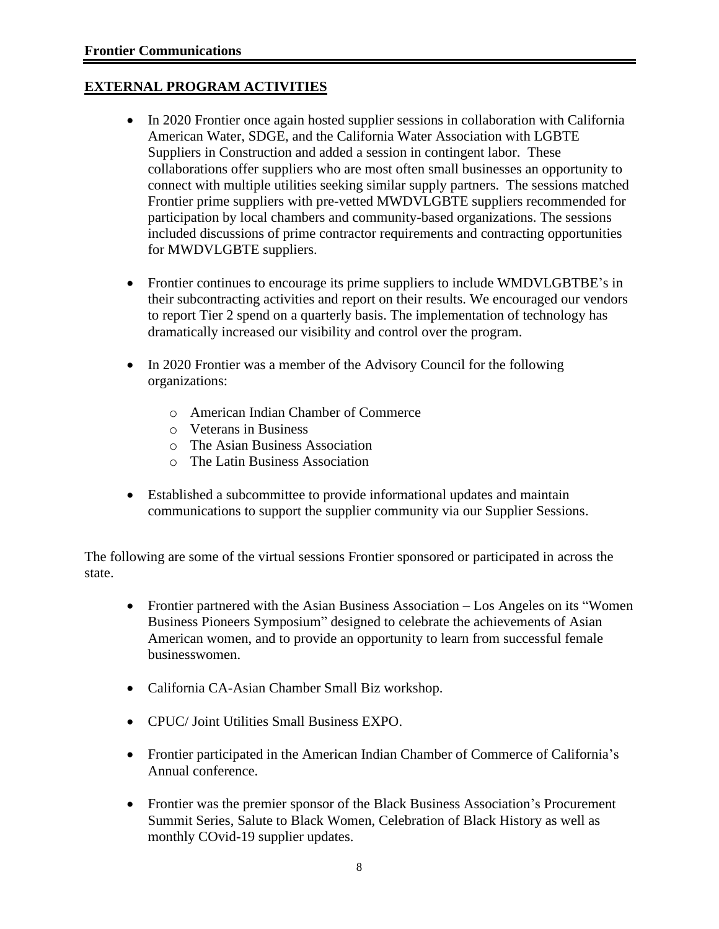#### **EXTERNAL PROGRAM ACTIVITIES**

- In 2020 Frontier once again hosted supplier sessions in collaboration with California American Water, SDGE, and the California Water Association with LGBTE Suppliers in Construction and added a session in contingent labor. These collaborations offer suppliers who are most often small businesses an opportunity to connect with multiple utilities seeking similar supply partners. The sessions matched Frontier prime suppliers with pre-vetted MWDVLGBTE suppliers recommended for participation by local chambers and community-based organizations. The sessions included discussions of prime contractor requirements and contracting opportunities for MWDVLGBTE suppliers.
- Frontier continues to encourage its prime suppliers to include WMDVLGBTBE's in their subcontracting activities and report on their results. We encouraged our vendors to report Tier 2 spend on a quarterly basis. The implementation of technology has dramatically increased our visibility and control over the program.
- In 2020 Frontier was a member of the Advisory Council for the following organizations:
	- o American Indian Chamber of Commerce
	- o Veterans in Business
	- o The Asian Business Association
	- o The Latin Business Association
- Established a subcommittee to provide informational updates and maintain communications to support the supplier community via our Supplier Sessions.

The following are some of the virtual sessions Frontier sponsored or participated in across the state.

- Frontier partnered with the Asian Business Association Los Angeles on its "Women" Business Pioneers Symposium" designed to celebrate the achievements of Asian American women, and to provide an opportunity to learn from successful female businesswomen.
- California CA-Asian Chamber Small Biz workshop.
- CPUC/ Joint Utilities Small Business EXPO.
- Frontier participated in the American Indian Chamber of Commerce of California's Annual conference.
- Frontier was the premier sponsor of the Black Business Association's Procurement Summit Series, Salute to Black Women, Celebration of Black History as well as monthly COvid-19 supplier updates.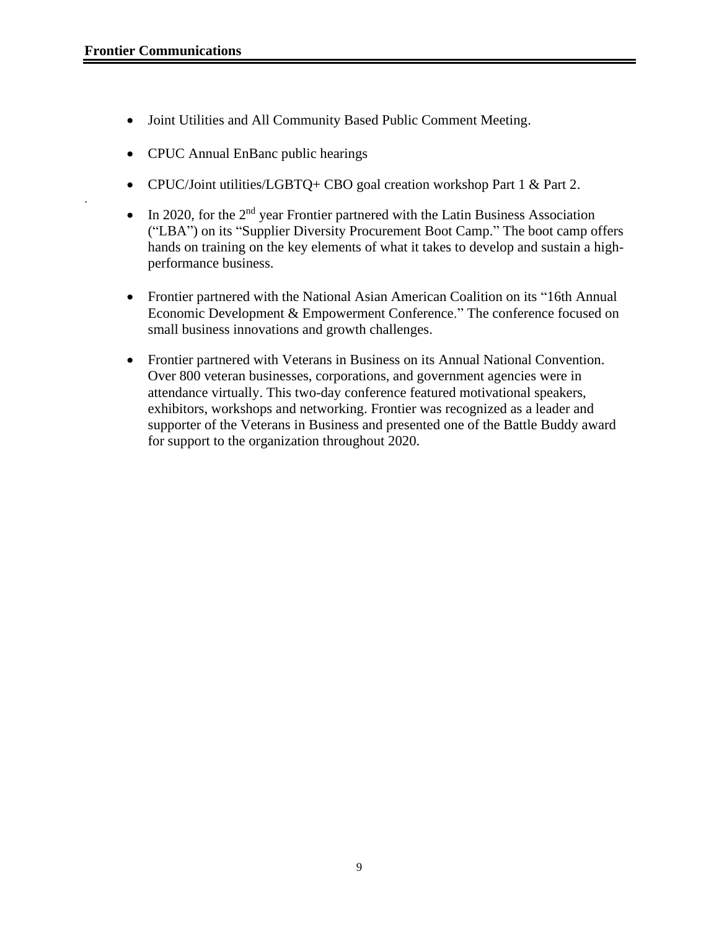.

- Joint Utilities and All Community Based Public Comment Meeting.
- CPUC Annual EnBanc public hearings
- CPUC/Joint utilities/LGBTQ+ CBO goal creation workshop Part 1 & Part 2.
- In 2020, for the  $2<sup>nd</sup>$  year Frontier partnered with the Latin Business Association ("LBA") on its "Supplier Diversity Procurement Boot Camp." The boot camp offers hands on training on the key elements of what it takes to develop and sustain a highperformance business.
- Frontier partnered with the National Asian American Coalition on its "16th Annual Economic Development & Empowerment Conference." The conference focused on small business innovations and growth challenges.
- Frontier partnered with Veterans in Business on its Annual National Convention. Over 800 veteran businesses, corporations, and government agencies were in attendance virtually. This two-day conference featured motivational speakers, exhibitors, workshops and networking. Frontier was recognized as a leader and supporter of the Veterans in Business and presented one of the Battle Buddy award for support to the organization throughout 2020.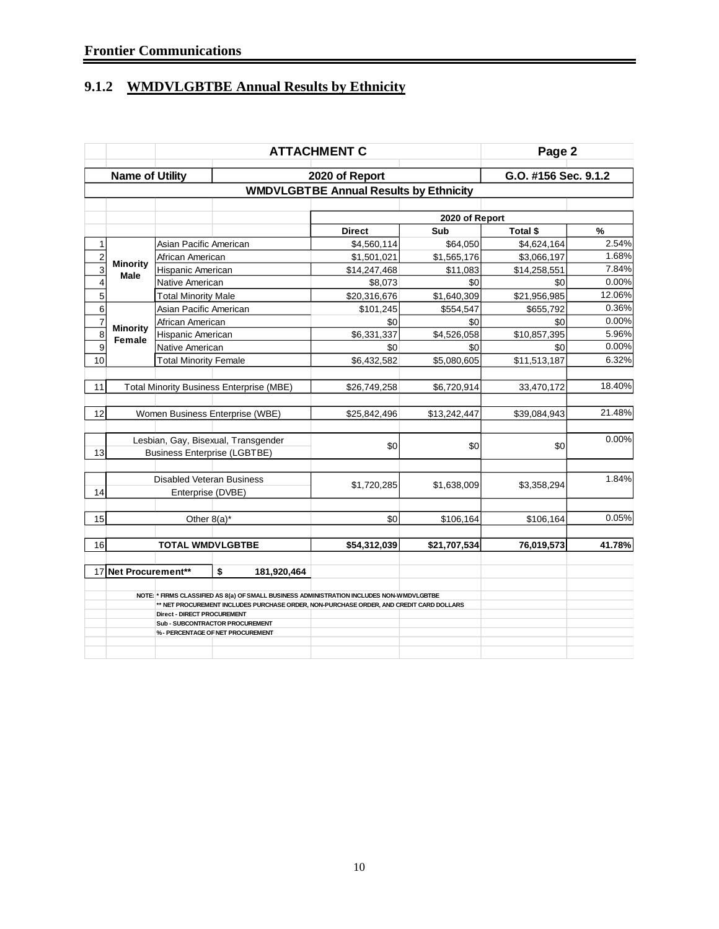# **9.1.2 WMDVLGBTBE Annual Results by Ethnicity**

|                                                                |                                               |                                  |                                                                                           | Page 2         |                       |                      |        |  |  |
|----------------------------------------------------------------|-----------------------------------------------|----------------------------------|-------------------------------------------------------------------------------------------|----------------|-----------------------|----------------------|--------|--|--|
|                                                                | <b>Name of Utility</b>                        |                                  |                                                                                           | 2020 of Report |                       | G.O. #156 Sec. 9.1.2 |        |  |  |
|                                                                | <b>WMDVLGBTBE Annual Results by Ethnicity</b> |                                  |                                                                                           |                |                       |                      |        |  |  |
|                                                                |                                               |                                  |                                                                                           |                |                       |                      |        |  |  |
|                                                                |                                               |                                  |                                                                                           | <b>Direct</b>  | 2020 of Report<br>Sub | Total \$             | %      |  |  |
| 1                                                              |                                               | Asian Pacific American           |                                                                                           | \$4,560,114    | \$64,050              | \$4,624,164          | 2.54%  |  |  |
| $\overline{c}$                                                 |                                               | African American                 |                                                                                           | \$1,501,021    | \$1,565,176           | \$3,066,197          | 1.68%  |  |  |
| 3                                                              | <b>Minority</b>                               | Hispanic American                |                                                                                           | \$14,247,468   | \$11,083              | \$14,258,551         | 7.84%  |  |  |
| $\overline{\mathbf{4}}$                                        | Male                                          | <b>Native American</b>           |                                                                                           | \$8,073        | \$0                   | \$0                  | 0.00%  |  |  |
| 5                                                              |                                               | <b>Total Minority Male</b>       |                                                                                           | \$20,316,676   | \$1,640,309           | \$21,956,985         | 12.06% |  |  |
| $6\phantom{1}6$                                                |                                               | Asian Pacific American           |                                                                                           | \$101,245      | \$554,547             | \$655,792            | 0.36%  |  |  |
| $\overline{7}$                                                 |                                               | African American                 |                                                                                           | \$0            | \$0                   | \$0                  | 0.00%  |  |  |
| $\overline{8}$                                                 | <b>Minority</b><br>Female                     | Hispanic American                |                                                                                           | \$6,331,337    | \$4,526,058           | \$10,857,395         | 5.96%  |  |  |
| 9                                                              |                                               | Native American                  |                                                                                           | \$0            | \$0                   | \$0                  | 0.00%  |  |  |
| 10                                                             |                                               | <b>Total Minority Female</b>     |                                                                                           | \$6,432,582    | \$5,080,605           | \$11,513,187         | 6.32%  |  |  |
|                                                                |                                               |                                  |                                                                                           |                |                       |                      |        |  |  |
| 11                                                             |                                               |                                  | <b>Total Minority Business Enterprise (MBE)</b>                                           | \$26,749,258   | \$6,720,914           | 33,470,172           | 18.40% |  |  |
|                                                                |                                               |                                  |                                                                                           |                |                       |                      |        |  |  |
| 12                                                             |                                               | Women Business Enterprise (WBE)  |                                                                                           | \$25,842,496   | \$13,242,447          | \$39,084,943         | 21.48% |  |  |
|                                                                |                                               |                                  |                                                                                           |                |                       |                      | 0.00%  |  |  |
| 13                                                             |                                               |                                  | Lesbian, Gay, Bisexual, Transgender                                                       | \$0            | \$0                   | \$0                  |        |  |  |
|                                                                |                                               |                                  | <b>Business Enterprise (LGBTBE)</b>                                                       |                |                       |                      |        |  |  |
|                                                                |                                               | <b>Disabled Veteran Business</b> |                                                                                           |                |                       |                      | 1.84%  |  |  |
| 14                                                             |                                               | Enterprise (DVBE)                |                                                                                           | \$1,720,285    | \$1,638,009           | \$3,358,294          |        |  |  |
|                                                                |                                               |                                  |                                                                                           |                |                       |                      |        |  |  |
| 15                                                             |                                               | Other $8(a)^*$                   |                                                                                           | \$0            | \$106,164             | \$106,164            | 0.05%  |  |  |
|                                                                |                                               |                                  |                                                                                           |                |                       |                      |        |  |  |
| 16                                                             |                                               | <b>TOTAL WMDVLGBTBE</b>          |                                                                                           | \$54,312,039   | \$21,707,534          | 76,019,573           | 41.78% |  |  |
|                                                                | 17 Net Procurement**                          |                                  | \$<br>181,920,464                                                                         |                |                       |                      |        |  |  |
|                                                                |                                               |                                  | NOTE: * FIRMS CLASSIFIED AS 8(a) OF SMALL BUSINESS ADMINISTRATION INCLUDES NON-WMDVLGBTBE |                |                       |                      |        |  |  |
|                                                                |                                               |                                  | ** NET PROCUREMENT INCLUDES PURCHASE ORDER, NON-PURCHASE ORDER, AND CREDIT CARD DOLLARS   |                |                       |                      |        |  |  |
| Direct - DIRECT PROCUREMENT<br>Sub - SUBCONTRACTOR PROCUREMENT |                                               |                                  |                                                                                           |                |                       |                      |        |  |  |
|                                                                |                                               |                                  | % - PERCENTAGE OF NET PROCUREMENT                                                         |                |                       |                      |        |  |  |
|                                                                |                                               |                                  |                                                                                           |                |                       |                      |        |  |  |
|                                                                |                                               |                                  |                                                                                           |                |                       |                      |        |  |  |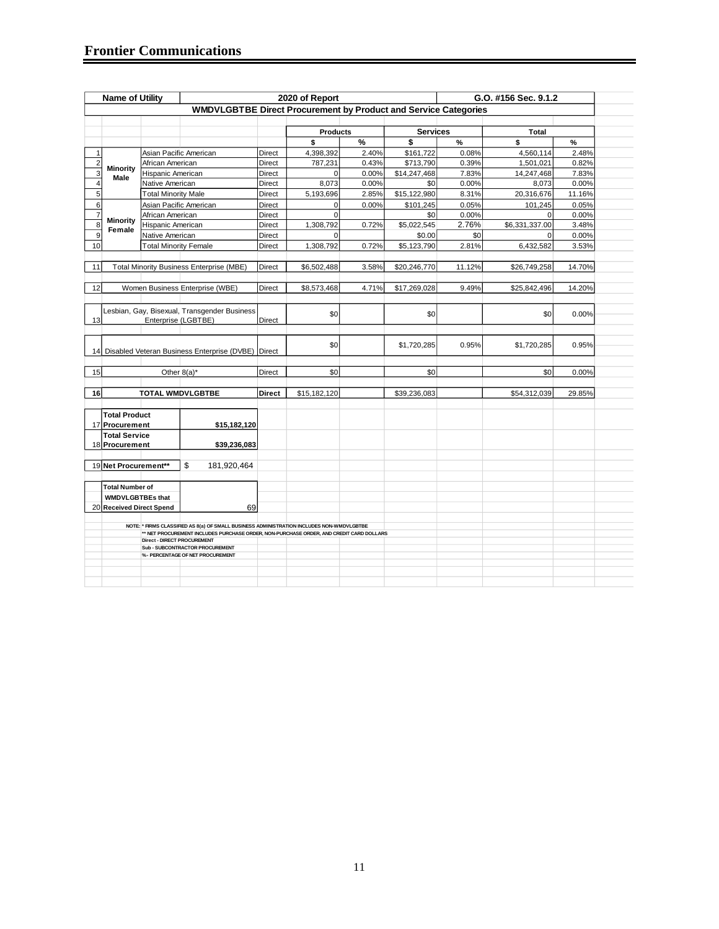| <b>Name of Utility</b>  |                                                                                                                                                                                      |                                    |                                                                        |               | 2020 of Report  |       |                 | G.O. #156 Sec. 9.1.2 |                |        |  |
|-------------------------|--------------------------------------------------------------------------------------------------------------------------------------------------------------------------------------|------------------------------------|------------------------------------------------------------------------|---------------|-----------------|-------|-----------------|----------------------|----------------|--------|--|
|                         |                                                                                                                                                                                      |                                    | <b>WMDVLGBTBE Direct Procurement by Product and Service Categories</b> |               |                 |       |                 |                      |                |        |  |
|                         |                                                                                                                                                                                      |                                    |                                                                        |               |                 |       |                 |                      |                |        |  |
|                         |                                                                                                                                                                                      |                                    |                                                                        |               | <b>Products</b> |       | <b>Services</b> |                      | Total          |        |  |
|                         |                                                                                                                                                                                      |                                    |                                                                        |               | \$              | %     | \$              | $\frac{9}{6}$        | \$             | %      |  |
| 1                       |                                                                                                                                                                                      |                                    | Asian Pacific American                                                 | Direct        | 4,398,392       | 2.40% | \$161,722       | 0.08%                | 4,560,114      | 2.48%  |  |
| $\overline{2}$          |                                                                                                                                                                                      | African American                   |                                                                        | Direct        | 787,231         | 0.43% | \$713,790       | 0.39%                | 1,501,021      | 0.82%  |  |
| 3                       | <b>Minority</b><br>Male                                                                                                                                                              | Hispanic American                  |                                                                        | Direct        | $\Omega$        | 0.00% | \$14,247,468    | 7.83%                | 14,247,468     | 7.83%  |  |
| $\overline{\mathbf{4}}$ |                                                                                                                                                                                      | Native American                    |                                                                        | <b>Direct</b> | 8,073           | 0.00% | \$0             | 0.00%                | 8,073          | 0.00%  |  |
| 5                       |                                                                                                                                                                                      | <b>Total Minority Male</b>         |                                                                        | Direct        | 5,193,696       | 2.85% | \$15,122,980    | 8.31%                | 20,316,676     | 11.16% |  |
| 6                       |                                                                                                                                                                                      |                                    | Asian Pacific American                                                 | <b>Direct</b> | $\overline{0}$  | 0.00% | \$101,245       | 0.05%                | 101,245        | 0.05%  |  |
| $\overline{7}$          |                                                                                                                                                                                      | African American                   |                                                                        | Direct        | $\Omega$        |       | \$0             | 0.00%                | $\Omega$       | 0.00%  |  |
| 8                       | <b>Minority</b>                                                                                                                                                                      | Hispanic American                  |                                                                        | Direct        | 1,308,792       | 0.72% | \$5,022,545     | 2.76%                | \$6,331,337.00 | 3.48%  |  |
| 9                       | Female                                                                                                                                                                               | Native American                    |                                                                        | Direct        | $\Omega$        |       | \$0.00          | \$0                  | $\Omega$       | 0.00%  |  |
| 10                      |                                                                                                                                                                                      | <b>Total Minority Female</b>       |                                                                        | Direct        | 1,308,792       | 0.72% | \$5,123,790     | 2.81%                | 6,432,582      | 3.53%  |  |
|                         |                                                                                                                                                                                      |                                    |                                                                        |               |                 |       |                 |                      |                |        |  |
| 11                      |                                                                                                                                                                                      |                                    | <b>Total Minority Business Enterprise (MBE)</b>                        | Direct        | \$6,502,488     | 3.58% | \$20,246,770    | 11.12%               | \$26,749,258   | 14.70% |  |
|                         |                                                                                                                                                                                      |                                    |                                                                        |               |                 |       |                 |                      |                |        |  |
| 12                      |                                                                                                                                                                                      |                                    | Women Business Enterprise (WBE)                                        | Direct        | \$8,573,468     | 4.71% | \$17,269,028    | 9.49%                | \$25,842,496   | 14.20% |  |
|                         |                                                                                                                                                                                      |                                    |                                                                        |               |                 |       |                 |                      |                |        |  |
|                         |                                                                                                                                                                                      |                                    |                                                                        |               |                 |       |                 |                      |                |        |  |
|                         |                                                                                                                                                                                      |                                    | Lesbian, Gay, Bisexual, Transgender Business                           |               | \$0             |       | \$0             |                      | \$0            | 0.00%  |  |
| 13                      |                                                                                                                                                                                      |                                    | Enterprise (LGBTBE)                                                    | Direct        |                 |       |                 |                      |                |        |  |
|                         |                                                                                                                                                                                      |                                    |                                                                        |               |                 |       |                 |                      |                |        |  |
|                         |                                                                                                                                                                                      |                                    |                                                                        |               | \$0             |       | \$1,720,285     | 0.95%                | \$1,720,285    | 0.95%  |  |
|                         |                                                                                                                                                                                      |                                    | 14 Disabled Veteran Business Enterprise (DVBE) Direct                  |               |                 |       |                 |                      |                |        |  |
|                         |                                                                                                                                                                                      |                                    |                                                                        |               |                 |       |                 |                      |                |        |  |
| 15                      |                                                                                                                                                                                      |                                    | Other $8(a)^*$                                                         | Direct        | \$0             |       | \$0             |                      | \$0            | 0.00%  |  |
|                         |                                                                                                                                                                                      |                                    |                                                                        |               |                 |       |                 |                      |                |        |  |
| 16                      |                                                                                                                                                                                      |                                    | <b>TOTAL WMDVLGBTBE</b>                                                | Direct        | \$15,182,120    |       | \$39,236,083    |                      | \$54,312,039   | 29.85% |  |
|                         |                                                                                                                                                                                      |                                    |                                                                        |               |                 |       |                 |                      |                |        |  |
|                         | <b>Total Product</b>                                                                                                                                                                 |                                    |                                                                        |               |                 |       |                 |                      |                |        |  |
|                         | 17 Procurement                                                                                                                                                                       |                                    | \$15,182,120                                                           |               |                 |       |                 |                      |                |        |  |
|                         | <b>Total Service</b>                                                                                                                                                                 |                                    |                                                                        |               |                 |       |                 |                      |                |        |  |
|                         | 18 Procurement                                                                                                                                                                       |                                    | \$39,236,083                                                           |               |                 |       |                 |                      |                |        |  |
|                         |                                                                                                                                                                                      |                                    |                                                                        |               |                 |       |                 |                      |                |        |  |
|                         | 19 Net Procurement**                                                                                                                                                                 |                                    | \$<br>181,920,464                                                      |               |                 |       |                 |                      |                |        |  |
|                         |                                                                                                                                                                                      |                                    |                                                                        |               |                 |       |                 |                      |                |        |  |
|                         | <b>Total Number of</b>                                                                                                                                                               |                                    |                                                                        |               |                 |       |                 |                      |                |        |  |
|                         | <b>WMDVLGBTBEs that</b>                                                                                                                                                              |                                    |                                                                        |               |                 |       |                 |                      |                |        |  |
|                         | 20 Received Direct Spend                                                                                                                                                             |                                    | 69                                                                     |               |                 |       |                 |                      |                |        |  |
|                         |                                                                                                                                                                                      |                                    |                                                                        |               |                 |       |                 |                      |                |        |  |
|                         | NOTE: * FIRMS CLASSIFIED AS 8(a) OF SMALL BUSINESS ADMINISTRATION INCLUDES NON-WMDVLGBTBE<br>** NET PROCUREMENT INCLUDES PURCHASE ORDER, NON-PURCHASE ORDER, AND CREDIT CARD DOLLARS |                                    |                                                                        |               |                 |       |                 |                      |                |        |  |
|                         |                                                                                                                                                                                      | <b>Direct - DIRECT PROCUREMENT</b> |                                                                        |               |                 |       |                 |                      |                |        |  |
|                         |                                                                                                                                                                                      |                                    | Sub - SUBCONTRACTOR PROCUREMENT                                        |               |                 |       |                 |                      |                |        |  |
|                         |                                                                                                                                                                                      |                                    | %- PERCENTAGE OF NET PROCUREMENT                                       |               |                 |       |                 |                      |                |        |  |
|                         |                                                                                                                                                                                      |                                    |                                                                        |               |                 |       |                 |                      |                |        |  |
|                         |                                                                                                                                                                                      |                                    |                                                                        |               |                 |       |                 |                      |                |        |  |
|                         |                                                                                                                                                                                      |                                    |                                                                        |               |                 |       |                 |                      |                |        |  |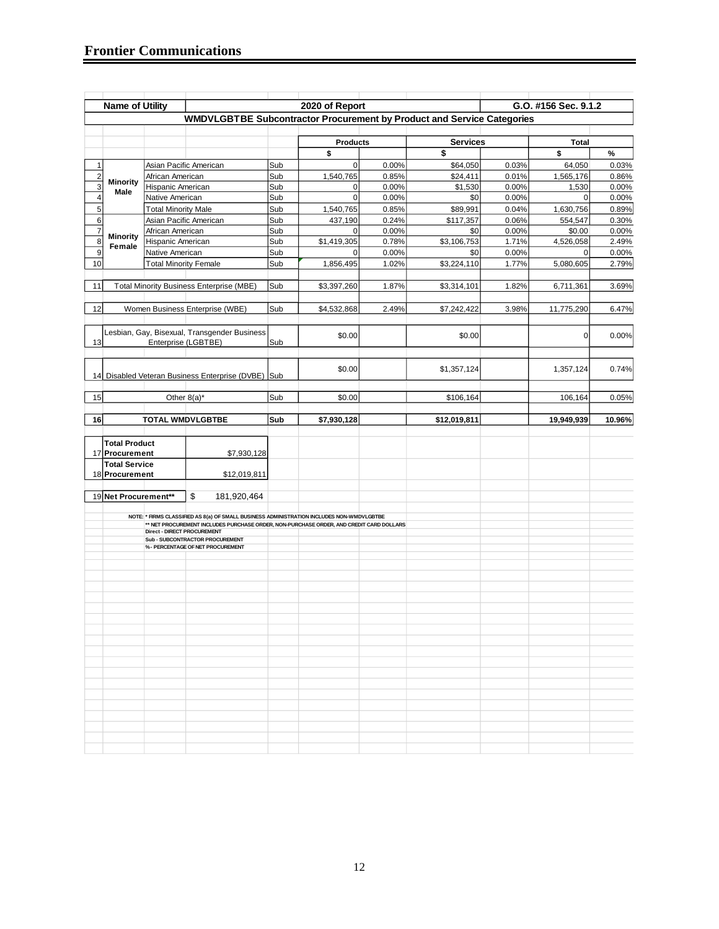|                         | <b>Name of Utility</b>                 |                                                      |                                                                                                                                                                                                                                                              |            | 2020 of Report           |                |                 |                | G.O. #156 Sec. 9.1.2 |                |
|-------------------------|----------------------------------------|------------------------------------------------------|--------------------------------------------------------------------------------------------------------------------------------------------------------------------------------------------------------------------------------------------------------------|------------|--------------------------|----------------|-----------------|----------------|----------------------|----------------|
|                         |                                        |                                                      | WMDVLGBTBE Subcontractor Procurement by Product and Service Categories                                                                                                                                                                                       |            |                          |                |                 |                |                      |                |
|                         |                                        |                                                      |                                                                                                                                                                                                                                                              |            |                          |                |                 |                |                      |                |
|                         |                                        |                                                      |                                                                                                                                                                                                                                                              |            | <b>Products</b>          |                | <b>Services</b> |                | <b>Total</b>         |                |
|                         |                                        |                                                      |                                                                                                                                                                                                                                                              | Sub        | \$                       |                | $\mathbf s$     |                | \$                   | %              |
| 1                       |                                        |                                                      | Asian Pacific American                                                                                                                                                                                                                                       |            | $\mathbf 0$              | 0.00%          | \$64,050        | 0.03%          | 64,050               | 0.03%          |
| $\overline{\mathbf{c}}$ | <b>Minority</b>                        | African American                                     |                                                                                                                                                                                                                                                              | Sub        | 1,540,765                | 0.85%          | \$24,411        | 0.01%          | 1,565,176            | 0.86%          |
| 3                       | Male                                   | Hispanic American                                    |                                                                                                                                                                                                                                                              | Sub        | $\mathbf{0}$             | 0.00%          | \$1,530         | 0.00%          | 1,530                | 0.00%          |
| 4<br>5                  |                                        | Native American                                      |                                                                                                                                                                                                                                                              | Sub        | $\mathbf 0$<br>1,540,765 | 0.00%          | \$0<br>\$89,991 | 0.00%          | 0<br>1,630,756       | 0.00%          |
| $\,6$                   |                                        | <b>Total Minority Male</b><br>Asian Pacific American |                                                                                                                                                                                                                                                              | Sub<br>Sub | 437,190                  | 0.85%<br>0.24% | \$117,357       | 0.04%<br>0.06% | 554,547              | 0.89%<br>0.30% |
| $\overline{7}$          |                                        | African American                                     |                                                                                                                                                                                                                                                              | Sub        | $\Omega$                 | 0.00%          | \$0             | 0.00%          | \$0.00               | 0.00%          |
| 8                       | <b>Minority</b>                        | Hispanic American                                    |                                                                                                                                                                                                                                                              | Sub        | \$1,419,305              | 0.78%          | \$3,106,753     | 1.71%          | 4,526,058            | 2.49%          |
| 9                       | Female                                 | Native American                                      |                                                                                                                                                                                                                                                              | Sub        | $\Omega$                 | 0.00%          | \$0             | 0.00%          | 0                    | 0.00%          |
| 10                      |                                        | <b>Total Minority Female</b>                         |                                                                                                                                                                                                                                                              | Sub        | 1,856,495                | 1.02%          | \$3,224,110     | 1.77%          | 5,080,605            | 2.79%          |
|                         |                                        |                                                      |                                                                                                                                                                                                                                                              |            |                          |                |                 |                |                      |                |
| 11                      |                                        |                                                      | <b>Total Minority Business Enterprise (MBE)</b>                                                                                                                                                                                                              | Sub        | \$3,397,260              | 1.87%          | \$3,314,101     | 1.82%          | 6,711,361            | 3.69%          |
| 12                      |                                        |                                                      | Women Business Enterprise (WBE)                                                                                                                                                                                                                              | Sub        | \$4,532,868              | 2.49%          | \$7,242,422     | 3.98%          | 11,775,290           | 6.47%          |
| 13                      |                                        |                                                      | Lesbian, Gay, Bisexual, Transgender Business<br>Enterprise (LGBTBE)                                                                                                                                                                                          | Sub        | \$0.00                   |                | \$0.00          |                | $\mathbf 0$          | 0.00%          |
|                         |                                        |                                                      | 14 Disabled Veteran Business Enterprise (DVBE) Sub                                                                                                                                                                                                           |            | \$0.00                   |                | \$1,357,124     |                | 1,357,124            | 0.74%          |
| 15                      |                                        | Other 8(a)*                                          |                                                                                                                                                                                                                                                              | Sub        | \$0.00                   |                | \$106,164       |                | 106,164              | 0.05%          |
|                         |                                        |                                                      |                                                                                                                                                                                                                                                              |            |                          |                |                 |                |                      |                |
| 16                      |                                        |                                                      | TOTAL WMDVLGBTBE                                                                                                                                                                                                                                             | Sub        | \$7,930,128              |                | \$12,019,811    |                | 19,949,939           | 10.96%         |
|                         |                                        |                                                      |                                                                                                                                                                                                                                                              |            |                          |                |                 |                |                      |                |
|                         | <b>Total Product</b>                   |                                                      |                                                                                                                                                                                                                                                              |            |                          |                |                 |                |                      |                |
|                         | 17 Procurement                         |                                                      | \$7,930,128                                                                                                                                                                                                                                                  |            |                          |                |                 |                |                      |                |
|                         | <b>Total Service</b><br>18 Procurement |                                                      | \$12,019,811                                                                                                                                                                                                                                                 |            |                          |                |                 |                |                      |                |
|                         |                                        |                                                      |                                                                                                                                                                                                                                                              |            |                          |                |                 |                |                      |                |
|                         | 19 Net Procurement**                   |                                                      | \$<br>181,920,464                                                                                                                                                                                                                                            |            |                          |                |                 |                |                      |                |
|                         |                                        | Direct - DIRECT PROCUREMENT                          | NOTE: * FIRMS CLASSIFIED AS 8(a) OF SMALL BUSINESS ADMINISTRATION INCLUDES NON-WMDVLGBTBE<br>** NET PROCUREMENT INCLUDES PURCHASE ORDER, NON-PURCHASE ORDER, AND CREDIT CARD DOLLARS<br>Sub - SUBCONTRACTOR PROCUREMENT<br>% - PERCENTAGE OF NET PROCUREMENT |            |                          |                |                 |                |                      |                |
|                         |                                        |                                                      |                                                                                                                                                                                                                                                              |            |                          |                |                 |                |                      |                |
|                         |                                        |                                                      |                                                                                                                                                                                                                                                              |            |                          |                |                 |                |                      |                |
|                         |                                        |                                                      |                                                                                                                                                                                                                                                              |            |                          |                |                 |                |                      |                |
|                         |                                        |                                                      |                                                                                                                                                                                                                                                              |            |                          |                |                 |                |                      |                |
|                         |                                        |                                                      |                                                                                                                                                                                                                                                              |            |                          |                |                 |                |                      |                |
|                         |                                        |                                                      |                                                                                                                                                                                                                                                              |            |                          |                |                 |                |                      |                |
|                         |                                        |                                                      |                                                                                                                                                                                                                                                              |            |                          |                |                 |                |                      |                |
|                         |                                        |                                                      |                                                                                                                                                                                                                                                              |            |                          |                |                 |                |                      |                |
|                         |                                        |                                                      |                                                                                                                                                                                                                                                              |            |                          |                |                 |                |                      |                |
|                         |                                        |                                                      |                                                                                                                                                                                                                                                              |            |                          |                |                 |                |                      |                |
|                         |                                        |                                                      |                                                                                                                                                                                                                                                              |            |                          |                |                 |                |                      |                |
|                         |                                        |                                                      |                                                                                                                                                                                                                                                              |            |                          |                |                 |                |                      |                |
|                         |                                        |                                                      |                                                                                                                                                                                                                                                              |            |                          |                |                 |                |                      |                |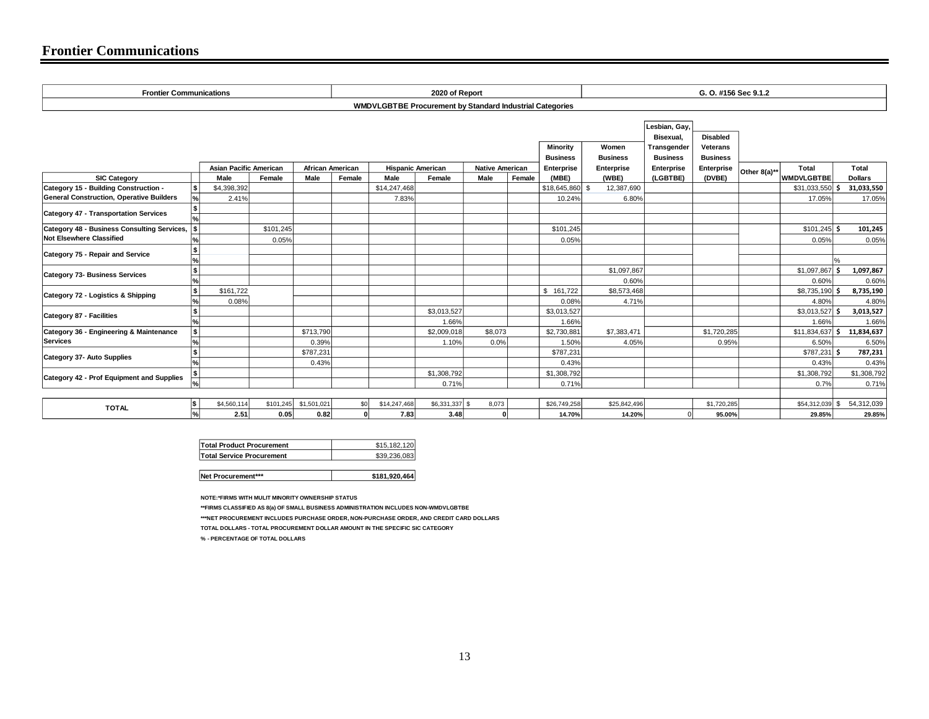# **Frontier Communications**

| <b>Frontier Communications</b>                                                           |                                  |                               |           |                         |                                                                 |                          | 2020 of Report |                        |        |                   |                 | G. O. #156 Sec 9.1.2                      |                             |              |                   |  |                |
|------------------------------------------------------------------------------------------|----------------------------------|-------------------------------|-----------|-------------------------|-----------------------------------------------------------------|--------------------------|----------------|------------------------|--------|-------------------|-----------------|-------------------------------------------|-----------------------------|--------------|-------------------|--|----------------|
|                                                                                          |                                  |                               |           |                         | <b>WMDVLGBTBE Procurement by Standard Industrial Categories</b> |                          |                |                        |        |                   |                 |                                           |                             |              |                   |  |                |
|                                                                                          |                                  |                               |           |                         |                                                                 |                          |                |                        |        | <b>Minority</b>   | Women           | Lesbian, Gay,<br>Bisexual,<br>Transgender | <b>Disabled</b><br>Veterans |              |                   |  |                |
|                                                                                          |                                  |                               |           |                         |                                                                 |                          |                |                        |        | <b>Business</b>   | <b>Business</b> | <b>Business</b>                           | <b>Business</b>             |              |                   |  |                |
|                                                                                          |                                  | <b>Asian Pacific American</b> |           | <b>African American</b> |                                                                 | <b>Hispanic American</b> |                | <b>Native American</b> |        | <b>Enterprise</b> | Enterprise      | Enterprise                                | Enterprise                  | Other 8(a)** | Total             |  | Total          |
| <b>SIC Category</b>                                                                      |                                  | Male                          | Female    | <b>Male</b>             | Female                                                          | Male                     | Female         | <b>Male</b>            | Female | (MBE)             | (WBE)           | (LGBTBE)                                  | (DVBE)                      |              | <b>WMDVLGBTBE</b> |  | <b>Dollars</b> |
| Category 15 - Building Construction -<br><b>General Construction, Operative Builders</b> | l\$<br>$\mathsf{P}_{\mathsf{A}}$ | \$4,398,392                   |           |                         |                                                                 | \$14,247,468             |                |                        |        | \$18,645,860 \$   | 12,387,690      |                                           |                             |              | $$31,033,550$ \$  |  | 31,033,550     |
|                                                                                          |                                  | 2.41%                         |           |                         |                                                                 | 7.83%                    |                |                        |        | 10.24%            | 6.80%           |                                           |                             |              | 17.05%            |  | 17.05%         |
| <b>Category 47 - Transportation Services</b>                                             | 96                               |                               |           |                         |                                                                 |                          |                |                        |        |                   |                 |                                           |                             |              |                   |  |                |
| Category 48 - Business Consulting Services, \$                                           |                                  |                               | \$101,245 |                         |                                                                 |                          |                |                        |        | \$101,245         |                 |                                           |                             |              | $$101,245$ \$     |  | 101,245        |
| <b>Not Elsewhere Classified</b>                                                          |                                  |                               | 0.05%     |                         |                                                                 |                          |                |                        |        | 0.05%             |                 |                                           |                             |              | 0.05%             |  | 0.05%          |
| Category 75 - Repair and Service                                                         | 9/                               |                               |           |                         |                                                                 |                          |                |                        |        |                   |                 |                                           |                             |              |                   |  |                |
|                                                                                          | l\$                              |                               |           |                         |                                                                 |                          |                |                        |        |                   | \$1,097,867     |                                           |                             |              | $$1,097,867$ \$   |  | 1,097,867      |
| <b>Category 73- Business Services</b>                                                    | 9/6                              |                               |           |                         |                                                                 |                          |                |                        |        |                   | 0.60%           |                                           |                             |              | 0.60%             |  | 0.60%          |
| Category 72 - Logistics & Shipping                                                       | l \$                             | \$161,722                     |           |                         |                                                                 |                          |                |                        |        | \$161,722         | \$8,573,468     |                                           |                             |              | $$8,735,190$ \$   |  | 8,735,190      |
|                                                                                          |                                  | 0.08%                         |           |                         |                                                                 |                          |                |                        |        | 0.08%             | 4.71%           |                                           |                             |              | 4.80%             |  | 4.80%          |
| Category 87 - Facilities                                                                 |                                  |                               |           |                         |                                                                 |                          | \$3,013,527    |                        |        | \$3,013,527       |                 |                                           |                             |              | $$3,013,527$ \$   |  | 3,013,527      |
|                                                                                          | l%                               |                               |           |                         |                                                                 |                          | 1.66%          |                        |        | 1.66%             |                 |                                           |                             |              | 1.66%             |  | 1.66%          |
| Category 36 - Engineering & Maintenance                                                  | l \$                             |                               |           | \$713,790               |                                                                 |                          | \$2,009,018    | \$8,073                |        | \$2,730,881       | \$7,383,471     |                                           | \$1,720,285                 |              | $$11,834,637$ \$  |  | 11,834,637     |
| <b>Services</b>                                                                          | 1%                               |                               |           | 0.39%                   |                                                                 |                          | 1.10%          | 0.0%                   |        | 1.50%             | 4.05%           |                                           | 0.95%                       |              | 6.50%             |  | 6.50%          |
| <b>Category 37- Auto Supplies</b>                                                        | Is                               |                               |           | \$787,231               |                                                                 |                          |                |                        |        | \$787,231         |                 |                                           |                             |              | $$787,231$ \$     |  | 787,231        |
|                                                                                          |                                  |                               |           | 0.43%                   |                                                                 |                          |                |                        |        | 0.43%             |                 |                                           |                             |              | 0.43%             |  | 0.43%          |
| Category 42 - Prof Equipment and Supplies                                                |                                  |                               |           |                         |                                                                 |                          | \$1,308,792    |                        |        | \$1,308,792       |                 |                                           |                             |              | \$1,308,792       |  | \$1,308,792    |
|                                                                                          | 96                               |                               |           |                         |                                                                 |                          | 0.71%          |                        |        | 0.71%             |                 |                                           |                             |              | 0.7%              |  | 0.71%          |
|                                                                                          | 1\$                              | \$4,560,114                   | \$101.245 | \$1,501.021             | \$0                                                             | \$14,247,468             | \$6,331,337 \$ | 8,073                  |        | \$26,749,258      | \$25,842,496    |                                           | \$1,720,285                 |              | \$54,312,039 \$   |  | 54.312.039     |
| <b>TOTAL</b>                                                                             | $\vert$ %                        | 2.51                          | 0.05      | 0.82                    | $\mathbf{0}$                                                    | 7.83                     | 3.48           |                        |        | 14.70%            | 14.20%          |                                           | 95.00%                      |              | 29.85%            |  | 29.85%         |

| <b>Total Product Procurement</b> | \$15.182.120 |
|----------------------------------|--------------|
| <b>Total Service Procurement</b> | \$39.236.083 |
|                                  |              |

**Net Procurement\*\*\* \$181,920,464**

**NOTE:\*FIRMS WITH MULIT MINORITY OWNERSHIP STATUS**

**\*\*FIRMS CLASSIFIED AS 8(a) OF SMALL BUSINESS ADMINISTRATION INCLUDES NON-WMDVLGBTBE**

**\*\*\*NET PROCUREMENT INCLUDES PURCHASE ORDER, NON-PURCHASE ORDER, AND CREDIT CARD DOLLARS**

**TOTAL DOLLARS - TOTAL PROCUREMENT DOLLAR AMOUNT IN THE SPECIFIC SIC CATEGORY** 

**% - PERCENTAGE OF TOTAL DOLLARS**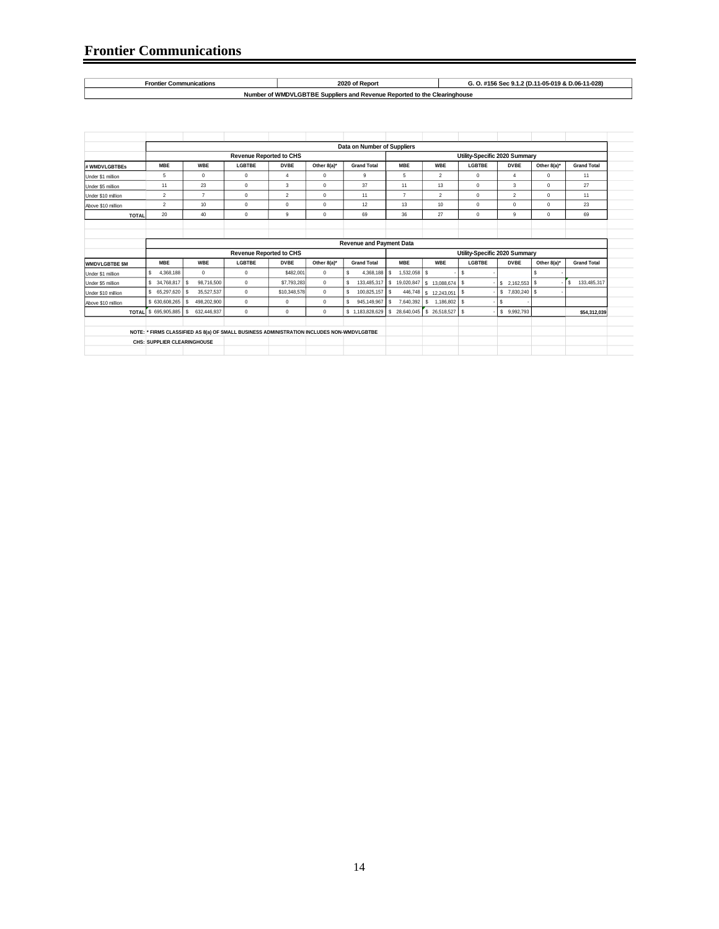```
Number of WMDVLGBTBE Suppliers and Revenue Reported to the Clearinghouse
Frontier Communications 2020 of Report G. O. #156 Sec 9.1.2 (D.11-05-019 & D.06-11-028)
```

|                      |                             | Data on Number of Suppliers |                                                                                           |                |              |                                 |                               |                    |               |                      |              |                    |  |
|----------------------|-----------------------------|-----------------------------|-------------------------------------------------------------------------------------------|----------------|--------------|---------------------------------|-------------------------------|--------------------|---------------|----------------------|--------------|--------------------|--|
|                      |                             |                             | <b>Revenue Reported to CHS</b>                                                            |                |              |                                 | Utility-Specific 2020 Summary |                    |               |                      |              |                    |  |
| # WMDVLGBTBEs        | <b>MBE</b>                  | <b>WBE</b>                  | LGBTBE                                                                                    | <b>DVBE</b>    | Other 8(a)*  | <b>Grand Total</b>              | <b>MBE</b>                    | <b>WBE</b>         | <b>LGBTBE</b> | <b>DVBE</b>          | Other 8(a)*  | <b>Grand Total</b> |  |
| Under \$1 million    | 5                           | $\mathbf 0$                 | $\mathbf 0$                                                                               | $\overline{4}$ | $^{\circ}$   | 9                               | 5                             | $\overline{2}$     | $\Omega$      | $\overline{4}$       | $\Omega$     | 11                 |  |
| Under \$5 million    | 11                          | 23                          | 0                                                                                         | 3              | $^{\circ}$   | 37                              | 11                            | 13                 | $\Omega$      | 3                    | $\Omega$     | 27                 |  |
| Under \$10 million   | $\overline{2}$              | $\overline{7}$              | 0                                                                                         | $\overline{2}$ | $\mathbf 0$  | 11                              | $\overline{7}$                | $\overline{2}$     | $\Omega$      | $\overline{2}$       | $\Omega$     | 11                 |  |
| Above \$10 million   | $\overline{2}$              | 10                          | $\mathbf 0$                                                                               | $\Omega$       | $\mathbf 0$  | 12                              | 13                            | 10                 | $\Omega$      | $\mathbf 0$          | $\Omega$     | 23                 |  |
| <b>TOTAL</b>         | 20                          | 40                          | 0                                                                                         | 9              | $\mathbf 0$  | 69                              | 36                            | 27                 | $\mathbf 0$   | 9                    | $\mathbf{0}$ | 69                 |  |
|                      |                             |                             |                                                                                           |                |              |                                 |                               |                    |               |                      |              |                    |  |
|                      |                             |                             |                                                                                           |                |              |                                 |                               |                    |               |                      |              |                    |  |
|                      |                             |                             |                                                                                           |                |              | <b>Revenue and Payment Data</b> |                               |                    |               |                      |              |                    |  |
|                      |                             |                             | <b>Revenue Reported to CHS</b>                                                            |                |              |                                 | Utility-Specific 2020 Summary |                    |               |                      |              |                    |  |
| <b>WMDVLGBTBE SM</b> | <b>MBE</b>                  | <b>WBE</b>                  | LGBTBE                                                                                    | <b>DVBE</b>    | Other 8(a)*  | <b>Grand Total</b>              | <b>MBE</b>                    | <b>WBE</b>         | <b>LGBTBE</b> | <b>DVBE</b>          | Other 8(a)*  | <b>Grand Total</b> |  |
| Under \$1 million    | 4.368.188                   | $\Omega$                    | 0                                                                                         | \$482.001      | $\mathbf{0}$ | 4.368.188 \$                    | $1.532.058$ S                 |                    | s             |                      |              |                    |  |
| Under \$5 million    | \$ 34,768,817               | s<br>98,716,500             | 0                                                                                         | \$7,793,283    | $\mathbf 0$  | 133,485,317 \$<br>s             | 19,020,847                    | 13.088.674<br>s.   | s             | $2,162,553$ \$<br>S. |              | 133,485,317<br>'s  |  |
| Under \$10 million   | \$ 65,297,620               | 35,527,537<br>s             | 0                                                                                         | \$10,348,578   | $\mathbf 0$  | 100,825,157 \$<br>s             | 446,748                       | \$ 12,243,051      | -S            |                      |              |                    |  |
| Above \$10 million   | \$630,608,265               | 498,202,900<br>s            | 0                                                                                         | $\mathbf 0$    | $\mathbf{0}$ | 945.149.967 \$                  | 7,640,392                     | 1,186,802 \$<br>s. |               |                      |              |                    |  |
| <b>TOTAL</b>         | \$695,905,885               | 632.446.937<br>s            | $\Omega$                                                                                  | $\mathbf 0$    | $^{\circ}$   | \$1.183.828.629                 | 28.640.045<br>s               |                    |               | 9.992.793<br>s.      |              | \$54,312,039       |  |
|                      |                             |                             |                                                                                           |                |              |                                 |                               |                    |               |                      |              |                    |  |
|                      |                             |                             | NOTE: * FIRMS CLASSIFIED AS 8(a) OF SMALL BUSINESS ADMINISTRATION INCLUDES NON-WMDVLGBTBE |                |              |                                 |                               |                    |               |                      |              |                    |  |
|                      | CHS: SUPPLIER CLEARINGHOUSE |                             |                                                                                           |                |              |                                 |                               |                    |               |                      |              |                    |  |
|                      |                             |                             |                                                                                           |                |              |                                 |                               |                    |               |                      |              |                    |  |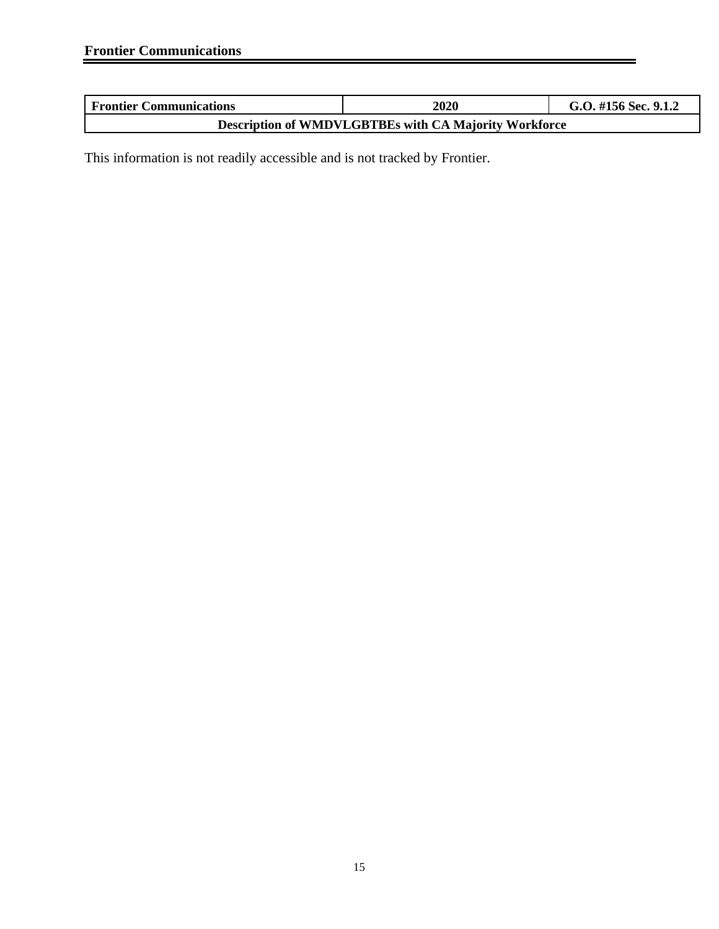| <b>Frontier Communications</b>                               | <b>2020</b> | G.O. #156 Sec. 9.1.2 |  |  |  |  |
|--------------------------------------------------------------|-------------|----------------------|--|--|--|--|
| <b>Description of WMDVLGBTBEs with CA Majority Workforce</b> |             |                      |  |  |  |  |

This information is not readily accessible and is not tracked by Frontier.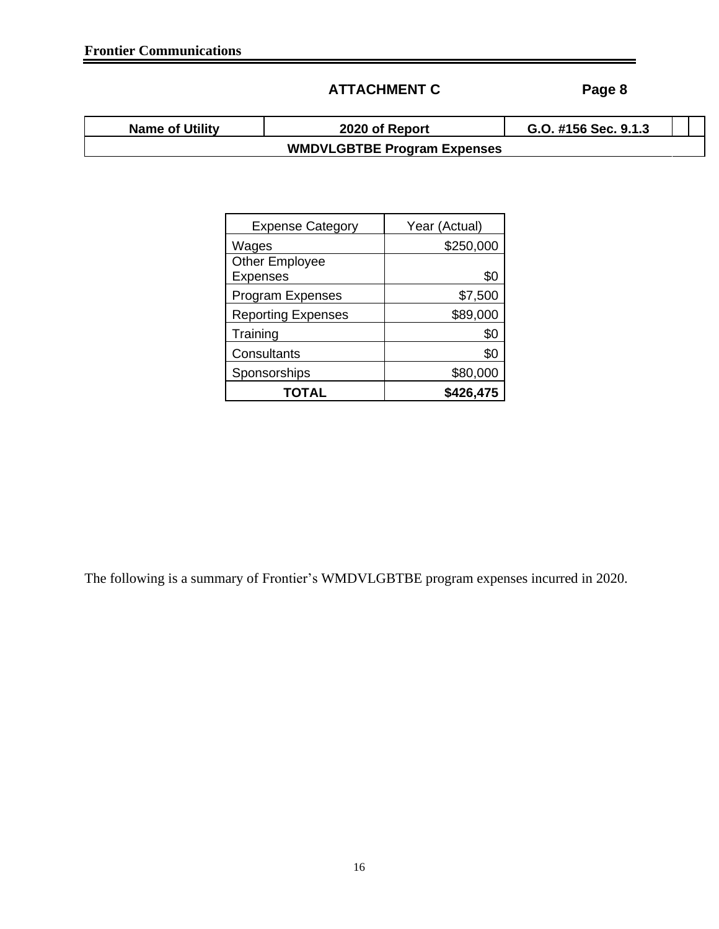# **ATTACHMENT C Page 8**

| <b>Name of Utility</b> | 2020 of Report                     | G.O. #156 Sec. 9.1.3 |  |
|------------------------|------------------------------------|----------------------|--|
|                        | <b>WMDVLGBTBE Program Expenses</b> |                      |  |

| <b>Expense Category</b>   | Year (Actual) |
|---------------------------|---------------|
| Wages                     | \$250,000     |
| <b>Other Employee</b>     |               |
| <b>Expenses</b>           | \$0           |
| <b>Program Expenses</b>   | \$7,500       |
| <b>Reporting Expenses</b> | \$89,000      |
| Training                  | \$0           |
| Consultants               | \$0           |
| Sponsorships              | \$80,000      |
| TOTAL                     | \$426,475     |

The following is a summary of Frontier's WMDVLGBTBE program expenses incurred in 2020.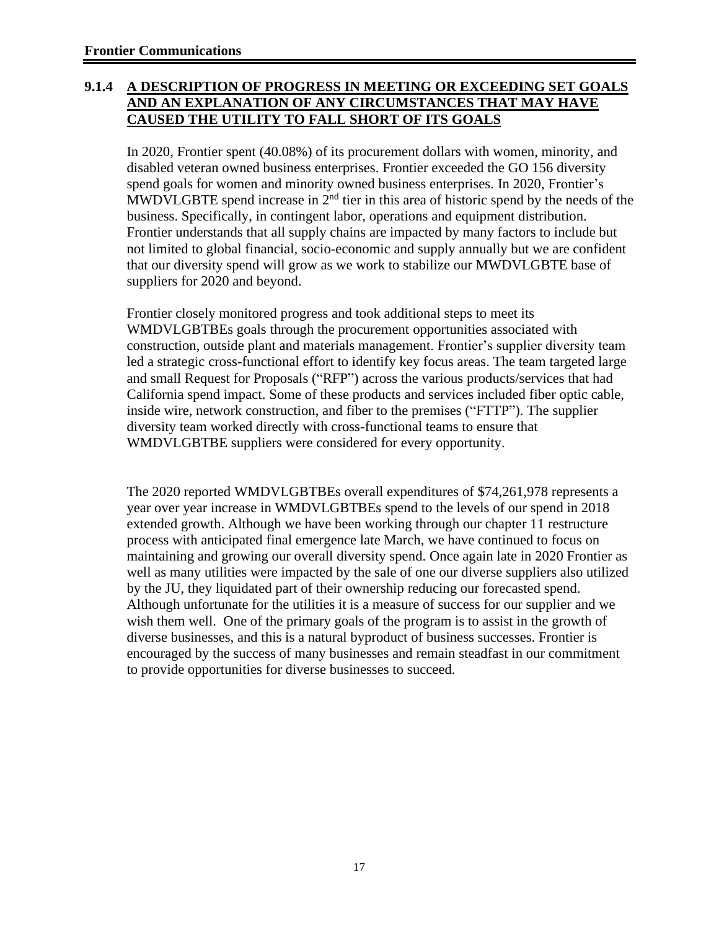## **9.1.4 A DESCRIPTION OF PROGRESS IN MEETING OR EXCEEDING SET GOALS AND AN EXPLANATION OF ANY CIRCUMSTANCES THAT MAY HAVE CAUSED THE UTILITY TO FALL SHORT OF ITS GOALS**

In 2020, Frontier spent (40.08%) of its procurement dollars with women, minority, and disabled veteran owned business enterprises. Frontier exceeded the GO 156 diversity spend goals for women and minority owned business enterprises. In 2020, Frontier's MWDVLGBTE spend increase in  $2<sup>nd</sup>$  tier in this area of historic spend by the needs of the business. Specifically, in contingent labor, operations and equipment distribution. Frontier understands that all supply chains are impacted by many factors to include but not limited to global financial, socio-economic and supply annually but we are confident that our diversity spend will grow as we work to stabilize our MWDVLGBTE base of suppliers for 2020 and beyond.

Frontier closely monitored progress and took additional steps to meet its WMDVLGBTBEs goals through the procurement opportunities associated with construction, outside plant and materials management. Frontier's supplier diversity team led a strategic cross-functional effort to identify key focus areas. The team targeted large and small Request for Proposals ("RFP") across the various products/services that had California spend impact. Some of these products and services included fiber optic cable, inside wire, network construction, and fiber to the premises ("FTTP"). The supplier diversity team worked directly with cross-functional teams to ensure that WMDVLGBTBE suppliers were considered for every opportunity.

The 2020 reported WMDVLGBTBEs overall expenditures of \$74,261,978 represents a year over year increase in WMDVLGBTBEs spend to the levels of our spend in 2018 extended growth. Although we have been working through our chapter 11 restructure process with anticipated final emergence late March, we have continued to focus on maintaining and growing our overall diversity spend. Once again late in 2020 Frontier as well as many utilities were impacted by the sale of one our diverse suppliers also utilized by the JU, they liquidated part of their ownership reducing our forecasted spend. Although unfortunate for the utilities it is a measure of success for our supplier and we wish them well. One of the primary goals of the program is to assist in the growth of diverse businesses, and this is a natural byproduct of business successes. Frontier is encouraged by the success of many businesses and remain steadfast in our commitment to provide opportunities for diverse businesses to succeed.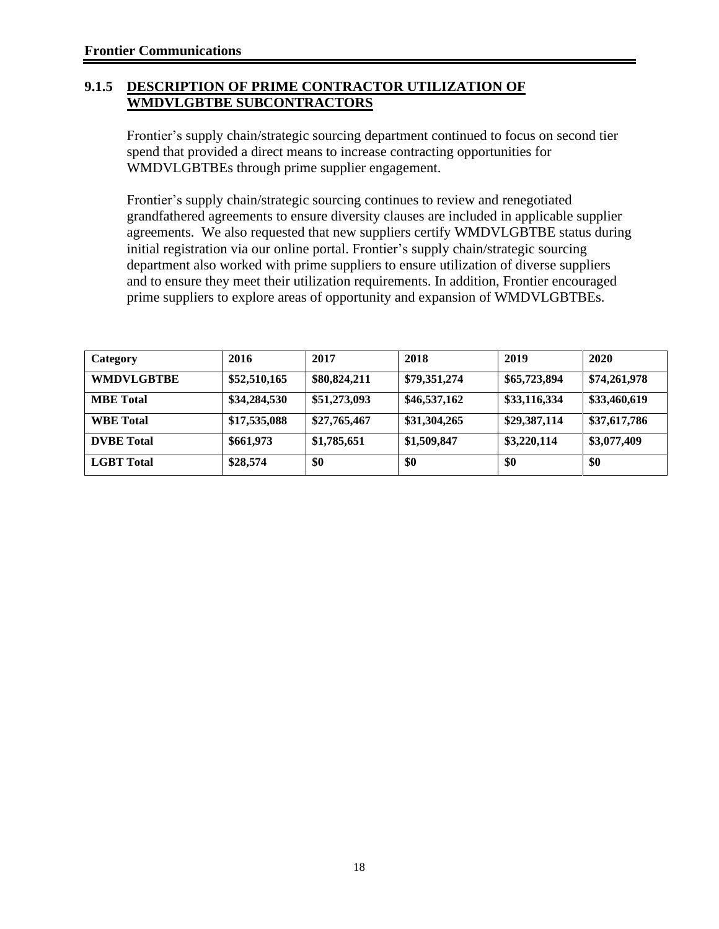#### **9.1.5 DESCRIPTION OF PRIME CONTRACTOR UTILIZATION OF WMDVLGBTBE SUBCONTRACTORS**

Frontier's supply chain/strategic sourcing department continued to focus on second tier spend that provided a direct means to increase contracting opportunities for WMDVLGBTBEs through prime supplier engagement.

Frontier's supply chain/strategic sourcing continues to review and renegotiated grandfathered agreements to ensure diversity clauses are included in applicable supplier agreements. We also requested that new suppliers certify WMDVLGBTBE status during initial registration via our online portal. Frontier's supply chain/strategic sourcing department also worked with prime suppliers to ensure utilization of diverse suppliers and to ensure they meet their utilization requirements. In addition, Frontier encouraged prime suppliers to explore areas of opportunity and expansion of WMDVLGBTBEs.

| Category          | 2016         | 2017         | 2018         | 2019         | 2020         |
|-------------------|--------------|--------------|--------------|--------------|--------------|
| <b>WMDVLGBTBE</b> | \$52,510,165 | \$80,824,211 | \$79,351,274 | \$65,723,894 | \$74,261,978 |
| <b>MBE</b> Total  | \$34,284,530 | \$51,273,093 | \$46,537,162 | \$33,116,334 | \$33,460,619 |
| <b>WBE</b> Total  | \$17,535,088 | \$27,765,467 | \$31,304,265 | \$29,387,114 | \$37,617,786 |
| <b>DVBE</b> Total | \$661,973    | \$1,785,651  | \$1,509,847  | \$3,220,114  | \$3,077,409  |
| <b>LGBT</b> Total | \$28,574     | \$0          | \$0          | \$0          | \$0          |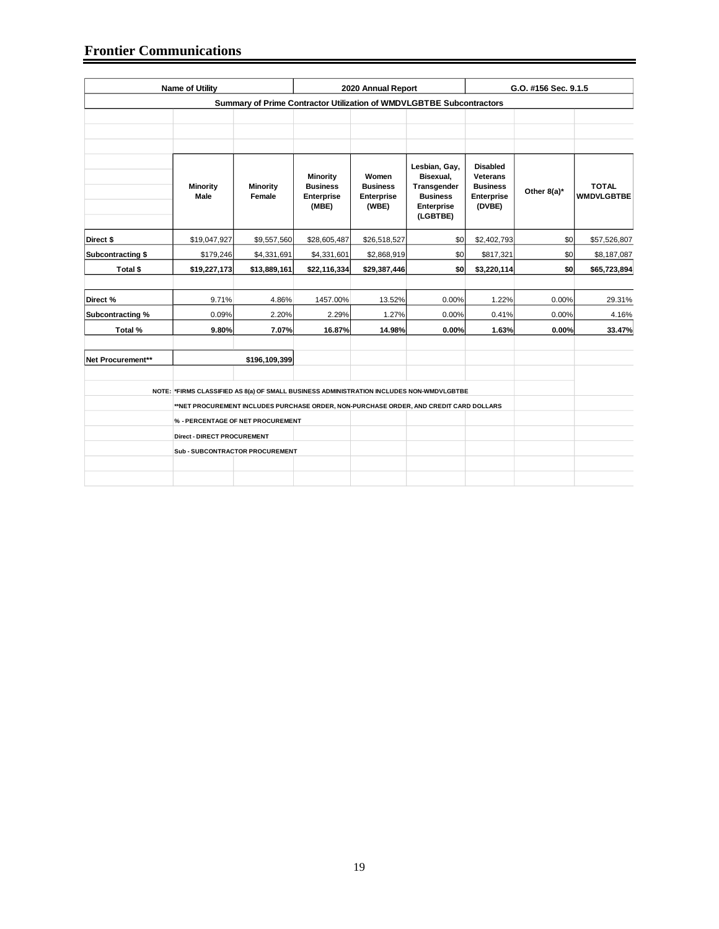#### **Frontier Communications**

| <b>Name of Utility</b> |                                   | 2020 Annual Report                                                   |                                                                                                                                                                                    | G.O. #156 Sec. 9.1.5                                   |                                                                                        |                                                                               |             |                                   |  |  |  |
|------------------------|-----------------------------------|----------------------------------------------------------------------|------------------------------------------------------------------------------------------------------------------------------------------------------------------------------------|--------------------------------------------------------|----------------------------------------------------------------------------------------|-------------------------------------------------------------------------------|-------------|-----------------------------------|--|--|--|
|                        |                                   | Summary of Prime Contractor Utilization of WMDVLGBTBE Subcontractors |                                                                                                                                                                                    |                                                        |                                                                                        |                                                                               |             |                                   |  |  |  |
|                        |                                   |                                                                      |                                                                                                                                                                                    |                                                        |                                                                                        |                                                                               |             |                                   |  |  |  |
|                        | <b>Minority</b><br>Male           | <b>Minority</b><br>Female                                            | Minority<br><b>Business</b><br><b>Enterprise</b><br>(MBE)                                                                                                                          | Women<br><b>Business</b><br><b>Enterprise</b><br>(WBE) | Lesbian, Gay,<br>Bisexual,<br>Transgender<br><b>Business</b><br>Enterprise<br>(LGBTBE) | <b>Disabled</b><br><b>Veterans</b><br><b>Business</b><br>Enterprise<br>(DVBE) | Other 8(a)* | <b>TOTAL</b><br><b>WMDVLGBTBE</b> |  |  |  |
| Direct \$              | \$19,047,927                      | \$9,557,560                                                          | \$28,605,487                                                                                                                                                                       | \$26,518,527                                           | \$0                                                                                    | \$2,402,793                                                                   | \$0         | \$57,526,807                      |  |  |  |
| Subcontracting \$      | \$179,246                         | \$4,331,691                                                          | \$4,331,601                                                                                                                                                                        | \$2,868,919                                            | \$0                                                                                    | \$817,321                                                                     | \$0         | \$8,187,087                       |  |  |  |
| Total \$               | \$19,227,173                      | \$13,889,161                                                         | \$22,116,334                                                                                                                                                                       | \$29,387,446                                           | \$0                                                                                    | \$3,220,114                                                                   | \$0         | \$65,723,894                      |  |  |  |
| Direct %               | 9.71%                             | 4.86%                                                                | 1457.00%                                                                                                                                                                           | 13.52%                                                 | 0.00%                                                                                  | 1.22%                                                                         | 0.00%       | 29.31%                            |  |  |  |
| Subcontracting %       | 0.09%                             | 2.20%                                                                | 2.29%                                                                                                                                                                              | 1.27%                                                  | 0.00%                                                                                  | 0.41%                                                                         | 0.00%       | 4.16%                             |  |  |  |
| Total %                | 9.80%                             | 7.07%                                                                | 16.87%                                                                                                                                                                             | 14.98%                                                 | 0.00%                                                                                  | 1.63%                                                                         | 0.00%       | 33.47%                            |  |  |  |
| Net Procurement**      |                                   | \$196,109,399                                                        |                                                                                                                                                                                    |                                                        |                                                                                        |                                                                               |             |                                   |  |  |  |
|                        |                                   |                                                                      |                                                                                                                                                                                    |                                                        |                                                                                        |                                                                               |             |                                   |  |  |  |
|                        |                                   |                                                                      | NOTE: *FIRMS CLASSIFIED AS 8(a) OF SMALL BUSINESS ADMINISTRATION INCLUDES NON-WMDVLGBTBE<br>**NET PROCUREMENT INCLUDES PURCHASE ORDER, NON-PURCHASE ORDER, AND CREDIT CARD DOLLARS |                                                        |                                                                                        |                                                                               |             |                                   |  |  |  |
|                        | % - PERCENTAGE OF NET PROCUREMENT |                                                                      |                                                                                                                                                                                    |                                                        |                                                                                        |                                                                               |             |                                   |  |  |  |
|                        | Direct - DIRECT PROCUREMENT       |                                                                      |                                                                                                                                                                                    |                                                        |                                                                                        |                                                                               |             |                                   |  |  |  |
|                        | Sub-SUBCONTRACTOR PROCUREMENT     |                                                                      |                                                                                                                                                                                    |                                                        |                                                                                        |                                                                               |             |                                   |  |  |  |
|                        |                                   |                                                                      |                                                                                                                                                                                    |                                                        |                                                                                        |                                                                               |             |                                   |  |  |  |
|                        |                                   |                                                                      |                                                                                                                                                                                    |                                                        |                                                                                        |                                                                               |             |                                   |  |  |  |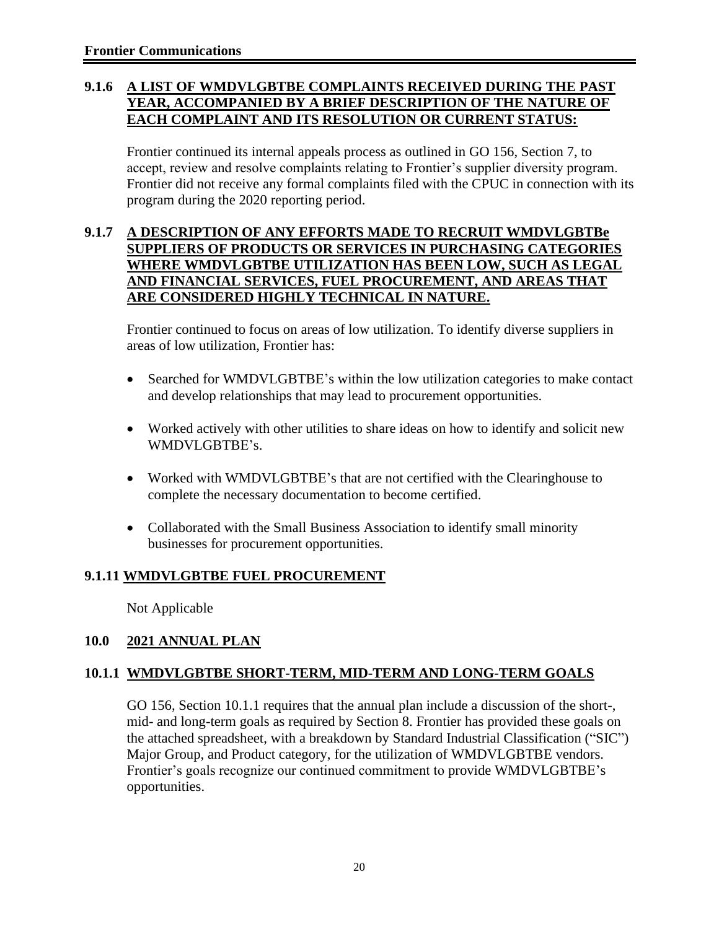## **9.1.6 A LIST OF WMDVLGBTBE COMPLAINTS RECEIVED DURING THE PAST YEAR, ACCOMPANIED BY A BRIEF DESCRIPTION OF THE NATURE OF EACH COMPLAINT AND ITS RESOLUTION OR CURRENT STATUS:**

Frontier continued its internal appeals process as outlined in GO 156, Section 7, to accept, review and resolve complaints relating to Frontier's supplier diversity program. Frontier did not receive any formal complaints filed with the CPUC in connection with its program during the 2020 reporting period.

#### **9.1.7 A DESCRIPTION OF ANY EFFORTS MADE TO RECRUIT WMDVLGBTBe SUPPLIERS OF PRODUCTS OR SERVICES IN PURCHASING CATEGORIES WHERE WMDVLGBTBE UTILIZATION HAS BEEN LOW, SUCH AS LEGAL AND FINANCIAL SERVICES, FUEL PROCUREMENT, AND AREAS THAT ARE CONSIDERED HIGHLY TECHNICAL IN NATURE.**

Frontier continued to focus on areas of low utilization. To identify diverse suppliers in areas of low utilization, Frontier has:

- Searched for WMDVLGBTBE's within the low utilization categories to make contact and develop relationships that may lead to procurement opportunities.
- Worked actively with other utilities to share ideas on how to identify and solicit new WMDVLGBTBE's.
- Worked with WMDVLGBTBE's that are not certified with the Clearinghouse to complete the necessary documentation to become certified.
- Collaborated with the Small Business Association to identify small minority businesses for procurement opportunities.

## **9.1.11 WMDVLGBTBE FUEL PROCUREMENT**

Not Applicable

#### **10.0 2021 ANNUAL PLAN**

#### **10.1.1 WMDVLGBTBE SHORT-TERM, MID-TERM AND LONG-TERM GOALS**

GO 156, Section 10.1.1 requires that the annual plan include a discussion of the short-, mid- and long-term goals as required by Section 8. Frontier has provided these goals on the attached spreadsheet, with a breakdown by Standard Industrial Classification ("SIC") Major Group, and Product category, for the utilization of WMDVLGBTBE vendors. Frontier's goals recognize our continued commitment to provide WMDVLGBTBE's opportunities.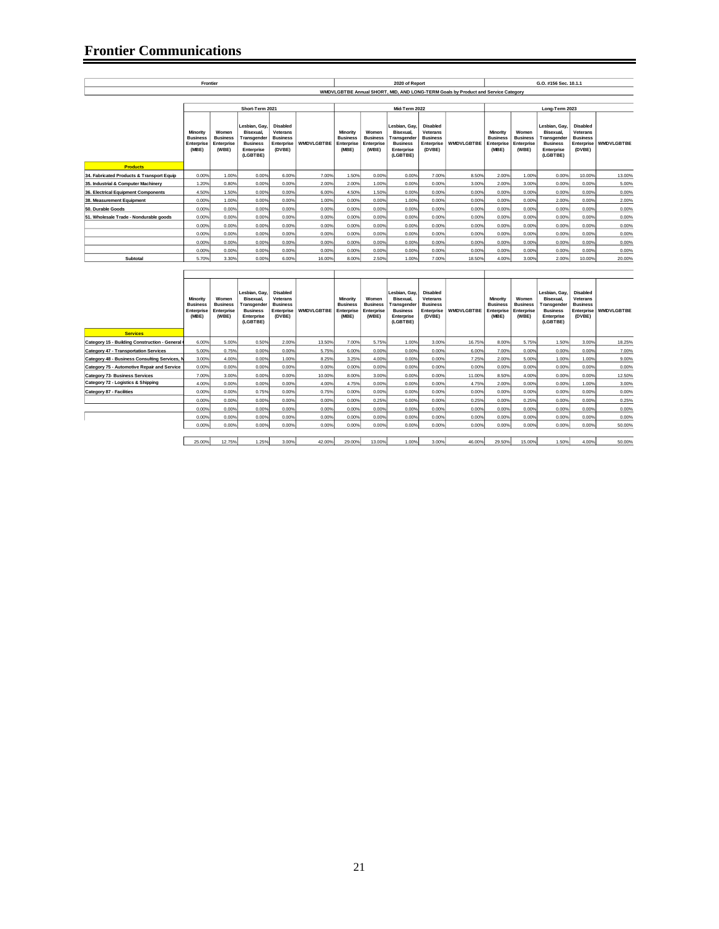#### **Frontier Communications**

|                                                                                              | Frontier                                           |                                                 |                                                                                                           |                                                                        |                   |                                                    |                                                 | 2020 of Report                                                                                         |                                                                 |                                                                                   |                                                    |                                                 | G.O. #156 Sec. 10.1.1                                                                                   |                                                                        |                   |
|----------------------------------------------------------------------------------------------|----------------------------------------------------|-------------------------------------------------|-----------------------------------------------------------------------------------------------------------|------------------------------------------------------------------------|-------------------|----------------------------------------------------|-------------------------------------------------|--------------------------------------------------------------------------------------------------------|-----------------------------------------------------------------|-----------------------------------------------------------------------------------|----------------------------------------------------|-------------------------------------------------|---------------------------------------------------------------------------------------------------------|------------------------------------------------------------------------|-------------------|
|                                                                                              |                                                    |                                                 |                                                                                                           |                                                                        |                   |                                                    |                                                 |                                                                                                        |                                                                 | WMDVLGBTBE Annual SHORT, MID, AND LONG-TERM Goals by Product and Service Category |                                                    |                                                 |                                                                                                         |                                                                        |                   |
|                                                                                              |                                                    |                                                 |                                                                                                           |                                                                        |                   |                                                    |                                                 |                                                                                                        |                                                                 |                                                                                   |                                                    |                                                 |                                                                                                         |                                                                        |                   |
|                                                                                              | Minority<br><b>Business</b><br>Enterprise<br>(MBE) | Women<br><b>Business</b><br>Enterprise<br>(WBE) | Short-Term 2021<br>Lesbian, Gay,<br>Bisexual,<br>Transgender<br><b>Business</b><br>Enterprise<br>(LGBTBE) | Disabled<br>Veterans<br><b>Business</b><br>Enterprise<br>(DVBE)        | <b>WMDVLGBTBE</b> | Minority<br><b>Business</b><br>Enterprise<br>(MBE) | Women<br><b>Business</b><br>Enterprise<br>(WBE) | Mid-Term 2022<br>esbian, Gay,<br>Bisexual,<br>Transgender<br><b>Business</b><br>Enterprise<br>(LGBTBE) | Disabled<br>Veterans<br><b>Business</b><br>Enterprise<br>(DVBE) | <b>WMDVLGBTBE</b>                                                                 | Minority<br><b>Business</b><br>Enterprise<br>(MBE) | Women<br><b>Business</b><br>Enterprise<br>(WBE) | Long-Term 2023<br>esbian, Gay,<br>Bisexual,<br>Transgender<br><b>Business</b><br>Enterprise<br>(LGBTBE) | Disabled<br>Veterans<br><b>Business</b><br>Enterprise<br>(DVBE)        | <b>WMDVLGBTBE</b> |
| <b>Products</b>                                                                              |                                                    |                                                 |                                                                                                           |                                                                        |                   |                                                    |                                                 |                                                                                                        |                                                                 |                                                                                   |                                                    |                                                 |                                                                                                         |                                                                        |                   |
| 34. Fabricated Products & Transport Equip                                                    | 0.00%                                              | 1.00%                                           | 0.00%                                                                                                     | 6.00%                                                                  | 7.00%             | 1.50%                                              | 0.00%                                           | 0.00%                                                                                                  | 7.00%                                                           | 8.50%                                                                             | 2.00%                                              | 1.00%                                           | 0.00%                                                                                                   | 10.00%                                                                 | 13.00%            |
| 35. Industrial & Computer Machinery                                                          | 1.20%                                              | 0.80%                                           | 0.00%                                                                                                     | 0.00%                                                                  | 2.00%             | 2.00%                                              | 1.00%                                           | 0.00%                                                                                                  | 0.00%                                                           | 3.00%                                                                             | 2.00%                                              | 3.00%                                           | 0.00%                                                                                                   | 0.00%                                                                  | 5.00%             |
| 36. Electrical Equipment Components                                                          | 4.50%                                              | 1.50%                                           | 0.00%                                                                                                     | 0.00%                                                                  | 6.00%             | 4.50%                                              | 1.50%                                           | 0.00%                                                                                                  | 0.00%                                                           | 0.00%                                                                             | 0.00%                                              | 0.00%                                           | 0.00%                                                                                                   | 0.00%                                                                  | 0.00%             |
| 38. Measurement Equipment<br>50. Durable Goods                                               | 0.00%<br>0.00%                                     | 1.00%<br>0.00%                                  | 0.00%<br>0.00%                                                                                            | 0.00%<br>0.00%                                                         | 1.00%<br>0.00%    | 0.00%<br>0.00%                                     | 0.00%<br>0.00%                                  | 1.00%<br>0.00%                                                                                         | 0.00%<br>0.00%                                                  | 0.00%<br>0.00%                                                                    | 0.00%<br>0.00%                                     | 0.00%<br>0.00%                                  | 2.00%<br>0.00%                                                                                          | 0.00%<br>0.00%                                                         | 2.00%<br>0.00%    |
| 51. Wholesale Trade - Nondurable goods                                                       | 0.00%                                              | 0.00%                                           | 0.00%                                                                                                     | 0.00%                                                                  | 0.00%             | 0.00%                                              | 0.00%                                           | 0.00%                                                                                                  | 0.00%                                                           | 0.00%                                                                             | 0.00%                                              | 0.00%                                           | 0.00%                                                                                                   | 0.00%                                                                  | 0.00%             |
|                                                                                              | 0.00%                                              | 0.00%                                           | 0.00%                                                                                                     | 0.00%                                                                  | 0.00%             | 0.00%                                              | 0.00%                                           | 0.00%                                                                                                  | 0.00%                                                           | 0.00%                                                                             | 0.00%                                              | 0.00%                                           | 0.00%                                                                                                   | 0.00%                                                                  | 0.00%             |
|                                                                                              | 0.00%                                              | 0.00%                                           | 0.00%                                                                                                     | 0.00%                                                                  | 0.00%             | 0.00%                                              | 0.00%                                           | 0.00%                                                                                                  | 0.00%                                                           | 0.00%                                                                             | 0.00%                                              | 0.00%                                           | 0.00%                                                                                                   | 0.00%                                                                  | $0.00\%$          |
|                                                                                              | 0.00%                                              | 0.00%                                           | 0.00%                                                                                                     | 0.00%                                                                  | 0.00%             | 0.00%                                              | 0.00%                                           | 0.00%                                                                                                  | 0.00%                                                           | 0.00%                                                                             | 0.00%                                              | 0.00%                                           | 0.00%                                                                                                   | 0.00%                                                                  | 0.00%             |
| Subtotal                                                                                     | 0.00%<br>5.70%                                     | 0.00%<br>3.30%                                  | 0.00%<br>0.00%                                                                                            | 0.00%<br>6.00%                                                         | 0.00%<br>16.00%   | 0.00%<br>8.00%                                     | 0.00%<br>2.50%                                  | 0.00%<br>1.00%                                                                                         | 0.00%<br>7.00%                                                  | 0.00%<br>18.50%                                                                   | 0.00%<br>4.00%                                     | 0.00%<br>3.00%                                  | 0.00%<br>2.00%                                                                                          | 0.00%<br>10.00%                                                        | 0.00%<br>20.00%   |
|                                                                                              |                                                    |                                                 |                                                                                                           |                                                                        |                   |                                                    |                                                 |                                                                                                        |                                                                 |                                                                                   |                                                    |                                                 |                                                                                                         |                                                                        |                   |
|                                                                                              | Minority<br><b>Business</b><br>Enterprise<br>(MBE) | Women<br><b>Business</b><br>Enterprise<br>(WBE) | Lesbian, Gay,<br>Bisexual,<br><b>Transgender</b><br><b>Business</b><br>Enterprise<br>(LGBTBE)             | <b>Disabled</b><br>Veterans<br><b>Business</b><br>Enterprise<br>(DVBE) | <b>WMDVLGBTBE</b> | Minority<br><b>Business</b><br>Enterprise<br>(MBE) | Women<br><b>Business</b><br>Enterprise<br>(WBE) | Lesbian, Gay,<br>Bisexual,<br>Transgender<br><b>Business</b><br>Enterprise<br>(LGBTBE)                 | Disabled<br>Veterans<br><b>Business</b><br>Enterprise<br>(DVBE) | <b>WMDVLGBTBE</b>                                                                 | Minority<br><b>Business</b><br>Enterprise<br>(MBE) | Women<br><b>Business</b><br>Enterprise<br>(WBE) | Lesbian, Gay,<br>Bisexual,<br>Transgender<br><b>Business</b><br>Enterprise<br>(LGBTBE)                  | <b>Disabled</b><br>Veterans<br><b>Business</b><br>Enterprise<br>(DVBE) | <b>WMDVLGBTBE</b> |
| <b>Services</b>                                                                              |                                                    |                                                 |                                                                                                           |                                                                        |                   |                                                    |                                                 |                                                                                                        |                                                                 |                                                                                   |                                                    |                                                 |                                                                                                         |                                                                        |                   |
| Category 15 - Building Construction - General                                                | 6.00%                                              | 5.00%                                           | 0.50%                                                                                                     | 2.00%                                                                  | 13.50%            | 7.00%                                              | 5.75%                                           | 1.00%                                                                                                  | 3.00%                                                           | 16.75%                                                                            | 8.00%                                              | 5.75%                                           | 1.50%                                                                                                   | 3.00%                                                                  | 18.25%            |
| <b>Category 47 - Transportation Services</b>                                                 | 5.00%<br>3.00%                                     | 0.75%<br>4.00%                                  | 0.00%<br>0.00%                                                                                            | 0.00%<br>1.00%                                                         | 5.75%<br>8.25%    | 6.00%<br>3.25%                                     | 0.00%<br>4.00%                                  | 0.00%<br>0.00%                                                                                         | 0.00%<br>0.00%                                                  | 6.00%<br>7.25%                                                                    | 7.00%<br>2.00%                                     | 0.00%<br>5.00%                                  | 0.00%<br>1.00%                                                                                          | 0.00%<br>1.00%                                                         | 7.00%<br>9.00%    |
| Category 48 - Business Consulting Services, M<br>Category 75 - Automotive Repair and Service | 0.00%                                              | 0.00%                                           | 0.00%                                                                                                     | 0.00%                                                                  | 0.00%             | 0.00%                                              | 0.00%                                           | 0.00%                                                                                                  | 0.00%                                                           | 0.00%                                                                             | 0.00%                                              | 0.00%                                           | 0.00%                                                                                                   | 0.00%                                                                  | 0.00%             |
| <b>Category 73- Business Services</b>                                                        | 7.00%                                              | 3.00%                                           | 0.00%                                                                                                     | 0.00%                                                                  | 10.00%            | 8.00%                                              | 3.00%                                           | 0.00%                                                                                                  | 0.00%                                                           | 11.00%                                                                            | 8.50%                                              | 4.00%                                           | 0.00%                                                                                                   | 0.00%                                                                  | 12.50%            |
| Category 72 - Logistics & Shipping                                                           | 4.00%                                              | 0.00%                                           | 0.00%                                                                                                     | 0.00%                                                                  | 4.00%             | 4.75%                                              | 0.00%                                           | 0.00%                                                                                                  | 0.00%                                                           | 4.75%                                                                             | 2.00%                                              | 0.00%                                           | 0.00%                                                                                                   | 1.00%                                                                  | 3.00%             |
| Category 87 - Facilities                                                                     | 0.00%                                              | 0.00%                                           | 0.75%                                                                                                     | 0.00%                                                                  | 0.75%             | 0.00%                                              | 0.00%                                           | 0.00%                                                                                                  | 0.00%                                                           | 0.00%                                                                             | 0.00%                                              | 0.00%                                           | 0.00%                                                                                                   | 0.00%                                                                  | 0.00%             |
|                                                                                              | 0.00%<br>0.00%                                     | 0.00%<br>0.00%                                  | 0.00%<br>0.00%                                                                                            | 0.00%<br>0.00%                                                         | 0.00%<br>0.00%    | 0.00%<br>0.00%                                     | 0.25%<br>0.00%                                  | 0.00%<br>0.00%                                                                                         | 0.00%<br>0.00%                                                  | 0.25%<br>0.00%                                                                    | 0.00%<br>0.00%                                     | 0.25%<br>0.00%                                  | 0.00%<br>0.00%                                                                                          | 0.00%<br>0.00%                                                         | 0.25%<br>0.00%    |
|                                                                                              | 0.00%                                              | 0.00%                                           | 0.00%                                                                                                     | 0.00%                                                                  | 0.00%             | 0.00%                                              | 0.00%                                           | 0.00%                                                                                                  | 0.00%                                                           | 0.00%                                                                             | 0.00%                                              | 0.00%                                           | 0.00%                                                                                                   | 0.00%                                                                  | 0.00%             |
|                                                                                              | 0.00%                                              | 0.00%                                           | 0.00%                                                                                                     | 0.00%                                                                  | 0.00%             | 0.00%                                              | 0.00%                                           | 0.00%                                                                                                  | 0.00%                                                           | 0.00%                                                                             | 0.00%                                              | 0.00%                                           | 0.00%                                                                                                   | 0.00%                                                                  | 50.00%            |
|                                                                                              | 25.00%                                             | 12.75%                                          | 1.25%                                                                                                     | 3.00%                                                                  | 42.00%            | 29.00%                                             | 13.00%                                          | 1.00%                                                                                                  | 3.00%                                                           | 46.00%                                                                            | 29.50%                                             | 15.00%                                          | 1.50%                                                                                                   | 4.00%                                                                  | 50.00%            |
|                                                                                              |                                                    |                                                 |                                                                                                           |                                                                        |                   |                                                    |                                                 |                                                                                                        |                                                                 |                                                                                   |                                                    |                                                 |                                                                                                         |                                                                        |                   |
|                                                                                              |                                                    |                                                 |                                                                                                           |                                                                        |                   | 21                                                 |                                                 |                                                                                                        |                                                                 |                                                                                   |                                                    |                                                 |                                                                                                         |                                                                        |                   |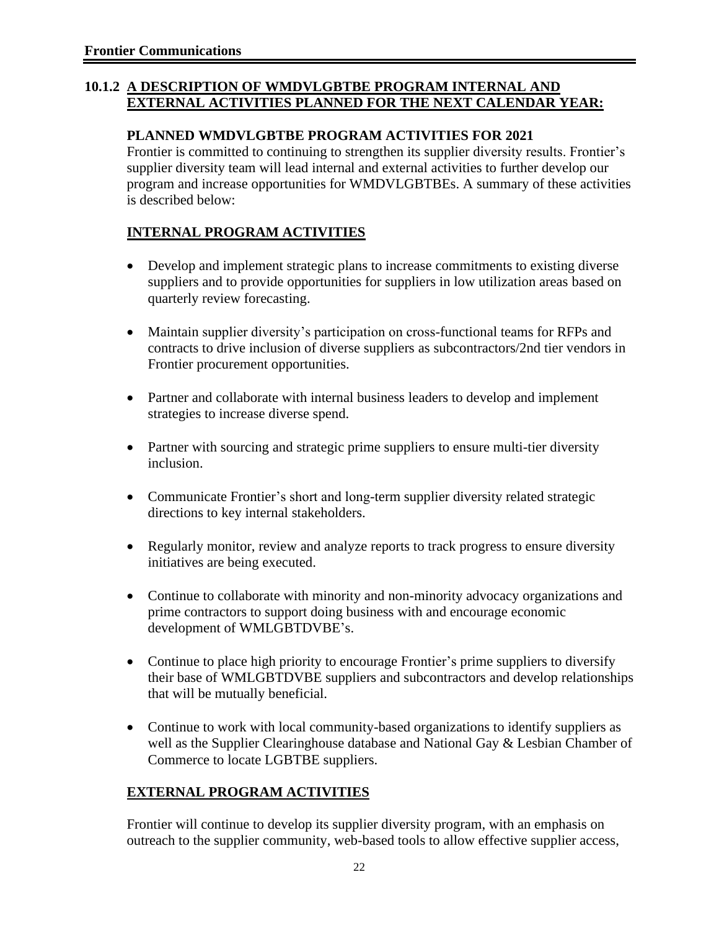#### **10.1.2 A DESCRIPTION OF WMDVLGBTBE PROGRAM INTERNAL AND EXTERNAL ACTIVITIES PLANNED FOR THE NEXT CALENDAR YEAR:**

#### **PLANNED WMDVLGBTBE PROGRAM ACTIVITIES FOR 2021**

Frontier is committed to continuing to strengthen its supplier diversity results. Frontier's supplier diversity team will lead internal and external activities to further develop our program and increase opportunities for WMDVLGBTBEs. A summary of these activities is described below:

## **INTERNAL PROGRAM ACTIVITIES**

- Develop and implement strategic plans to increase commitments to existing diverse suppliers and to provide opportunities for suppliers in low utilization areas based on quarterly review forecasting.
- Maintain supplier diversity's participation on cross-functional teams for RFPs and contracts to drive inclusion of diverse suppliers as subcontractors/2nd tier vendors in Frontier procurement opportunities.
- Partner and collaborate with internal business leaders to develop and implement strategies to increase diverse spend.
- Partner with sourcing and strategic prime suppliers to ensure multi-tier diversity inclusion.
- Communicate Frontier's short and long-term supplier diversity related strategic directions to key internal stakeholders.
- Regularly monitor, review and analyze reports to track progress to ensure diversity initiatives are being executed.
- Continue to collaborate with minority and non-minority advocacy organizations and prime contractors to support doing business with and encourage economic development of WMLGBTDVBE's.
- Continue to place high priority to encourage Frontier's prime suppliers to diversify their base of WMLGBTDVBE suppliers and subcontractors and develop relationships that will be mutually beneficial.
- Continue to work with local community-based organizations to identify suppliers as well as the Supplier Clearinghouse database and National Gay & Lesbian Chamber of Commerce to locate LGBTBE suppliers.

## **EXTERNAL PROGRAM ACTIVITIES**

Frontier will continue to develop its supplier diversity program, with an emphasis on outreach to the supplier community, web-based tools to allow effective supplier access,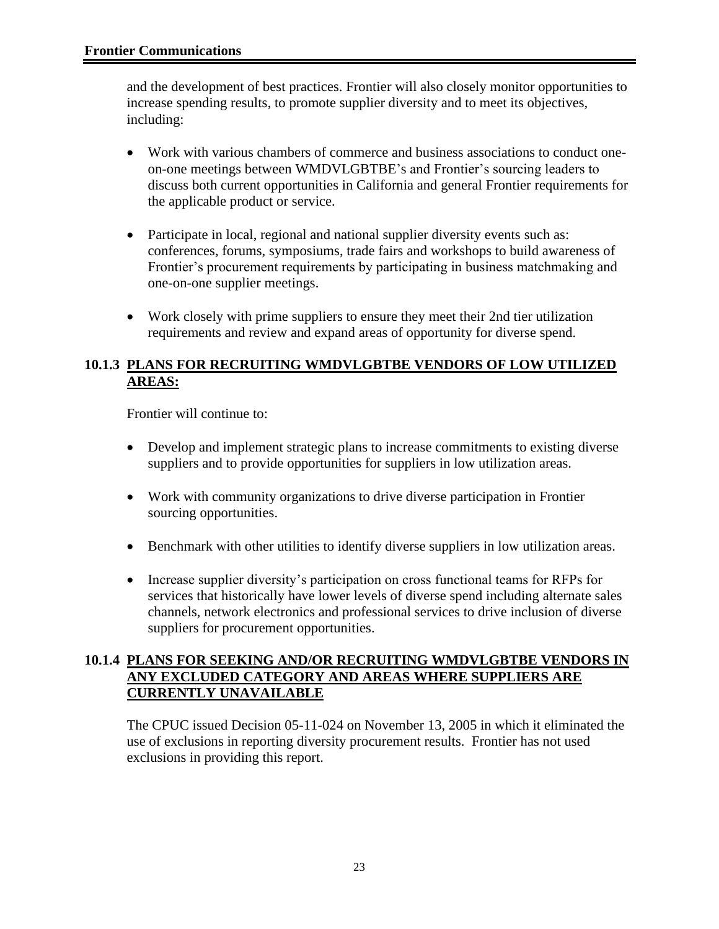and the development of best practices. Frontier will also closely monitor opportunities to increase spending results, to promote supplier diversity and to meet its objectives, including:

- Work with various chambers of commerce and business associations to conduct oneon-one meetings between WMDVLGBTBE's and Frontier's sourcing leaders to discuss both current opportunities in California and general Frontier requirements for the applicable product or service.
- Participate in local, regional and national supplier diversity events such as: conferences, forums, symposiums, trade fairs and workshops to build awareness of Frontier's procurement requirements by participating in business matchmaking and one-on-one supplier meetings.
- Work closely with prime suppliers to ensure they meet their 2nd tier utilization requirements and review and expand areas of opportunity for diverse spend.

#### **10.1.3 PLANS FOR RECRUITING WMDVLGBTBE VENDORS OF LOW UTILIZED AREAS:**

Frontier will continue to:

- Develop and implement strategic plans to increase commitments to existing diverse suppliers and to provide opportunities for suppliers in low utilization areas.
- Work with community organizations to drive diverse participation in Frontier sourcing opportunities.
- Benchmark with other utilities to identify diverse suppliers in low utilization areas.
- Increase supplier diversity's participation on cross functional teams for RFPs for services that historically have lower levels of diverse spend including alternate sales channels, network electronics and professional services to drive inclusion of diverse suppliers for procurement opportunities.

#### **10.1.4 PLANS FOR SEEKING AND/OR RECRUITING WMDVLGBTBE VENDORS IN ANY EXCLUDED CATEGORY AND AREAS WHERE SUPPLIERS ARE CURRENTLY UNAVAILABLE**

The CPUC issued Decision 05-11-024 on November 13, 2005 in which it eliminated the use of exclusions in reporting diversity procurement results. Frontier has not used exclusions in providing this report.